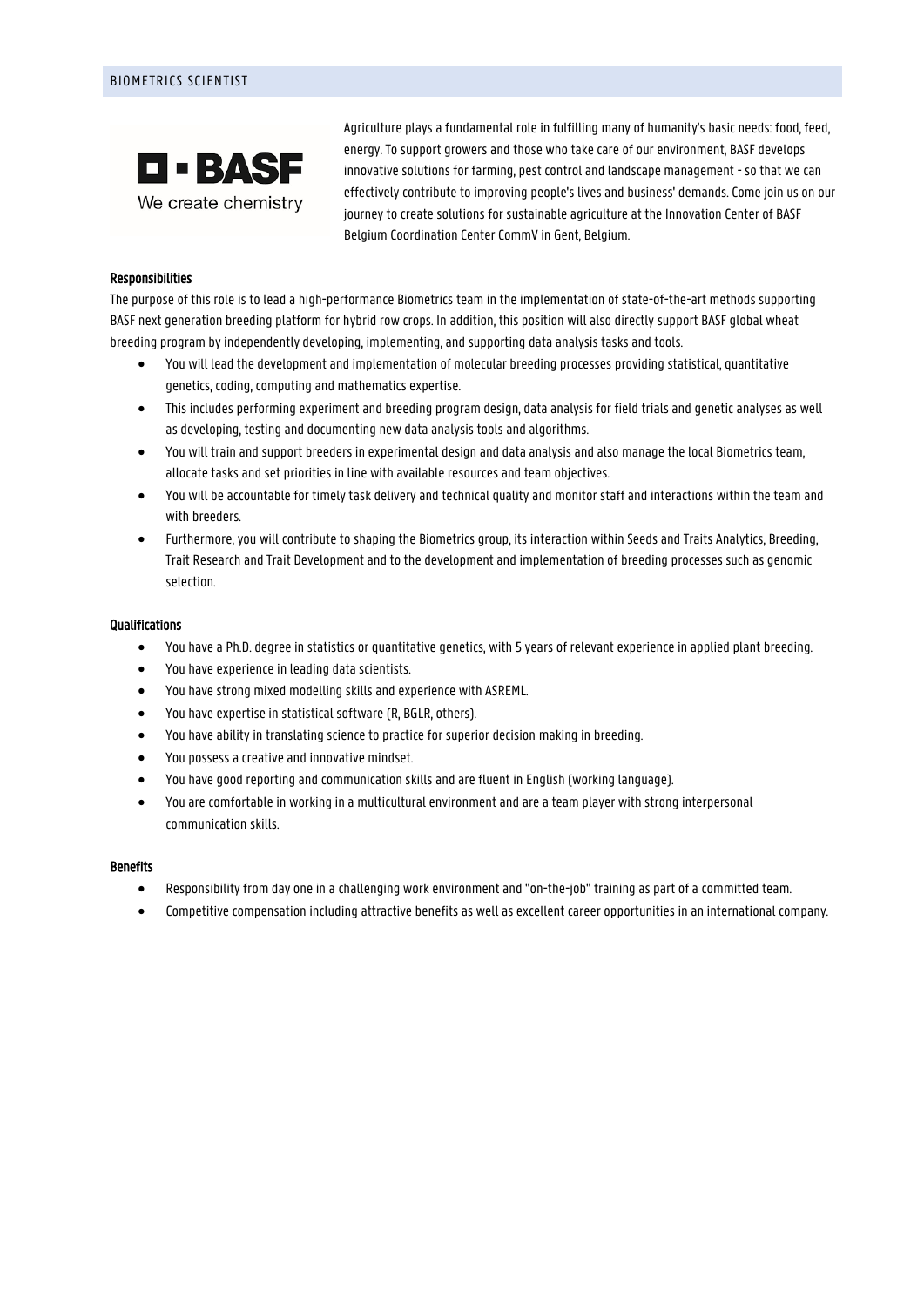

Agriculture plays a fundamental role in fulfilling many of humanity's basic needs: food, feed, energy. To support growers and those who take care of our environment, BASF develops innovative solutions for farming, pest control and landscape management - so that we can effectively contribute to improving people's lives and business' demands. Come join us on our journey to create solutions for sustainable agriculture at the Innovation Center of BASF Belgium Coordination Center CommV in Gent, Belgium.

## Responsibilities

The purpose of this role is to lead a high-performance Biometrics team in the implementation of state-of-the-art methods supporting BASF next generation breeding platform for hybrid row crops. In addition, this position will also directly support BASF global wheat breeding program by independently developing, implementing, and supporting data analysis tasks and tools.

- You will lead the development and implementation of molecular breeding processes providing statistical, quantitative genetics, coding, computing and mathematics expertise.
- This includes performing experiment and breeding program design, data analysis for field trials and genetic analyses as well as developing, testing and documenting new data analysis tools and algorithms.
- You will train and support breeders in experimental design and data analysis and also manage the local Biometrics team, allocate tasks and set priorities in line with available resources and team objectives.
- You will be accountable for timely task delivery and technical quality and monitor staff and interactions within the team and with breeders.
- Furthermore, you will contribute to shaping the Biometrics group, its interaction within Seeds and Traits Analytics, Breeding, Trait Research and Trait Development and to the development and implementation of breeding processes such as genomic selection.

#### **Qualifications**

- You have a Ph.D. degree in statistics or quantitative genetics, with 5 years of relevant experience in applied plant breeding.
- You have experience in leading data scientists.
- You have strong mixed modelling skills and experience with ASREML.
- You have expertise in statistical software (R, BGLR, others).
- You have ability in translating science to practice for superior decision making in breeding.
- You possess a creative and innovative mindset.
- You have good reporting and communication skills and are fluent in English (working language).
- You are comfortable in working in a multicultural environment and are a team player with strong interpersonal communication skills.

#### **Benefits**

- Responsibility from day one in a challenging work environment and "on-the-job" training as part of a committed team.
- Competitive compensation including attractive benefits as well as excellent career opportunities in an international company.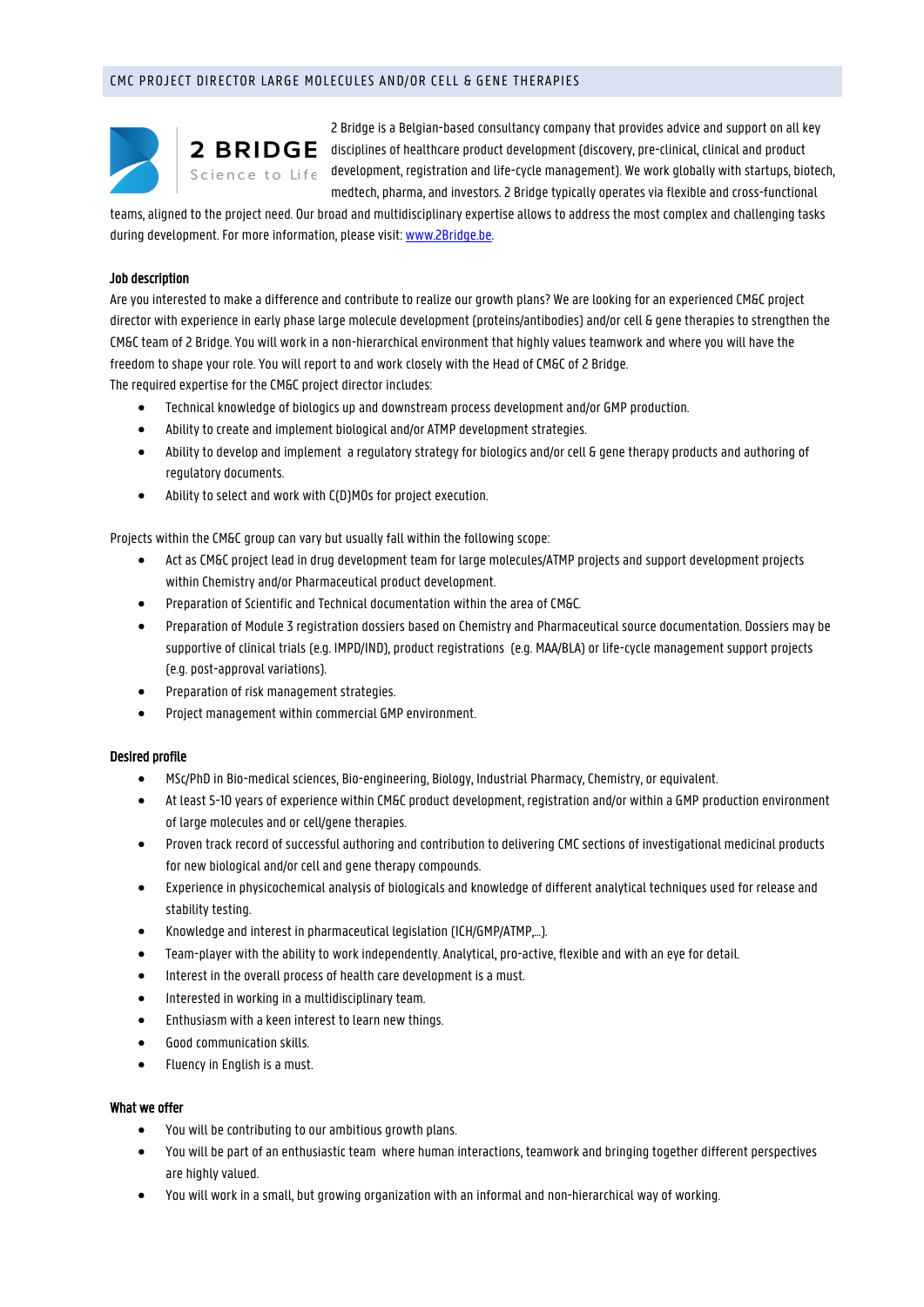# CMC PROJECT DIRECTOR LARGE MOLECULES AND/OR CELL & GENE THERAPIES



2 Bridge is a Belgian-based consultancy company that provides advice and support on all key  $2$  BRIDGE disciplines of healthcare product development (discovery, pre-clinical, clinical and product Science to Life development, registration and life-cycle management). We work globally with startups, biotech, medtech, pharma, and investors. 2 Bridge typically operates via flexible and cross-functional

teams, aligned to the project need. Our broad and multidisciplinary expertise allows to address the most complex and challenging tasks during development. For more information, please visit[: www.2Bridge.be.](http://www.2bridge.be/)

## Job description

Are you interested to make a difference and contribute to realize our growth plans? We are looking for an experienced CM&C project director with experience in early phase large molecule development (proteins/antibodies) and/or cell & gene therapies to strengthen the CM&C team of 2 Bridge. You will work in a non-hierarchical environment that highly values teamwork and where you will have the freedom to shape your role. You will report to and work closely with the Head of CM&C of 2 Bridge.

The required expertise for the CM&C project director includes:

- Technical knowledge of biologics up and downstream process development and/or GMP production.
- Ability to create and implement biological and/or ATMP development strategies.
- Ability to develop and implement a regulatory strategy for biologics and/or cell & gene therapy products and authoring of regulatory documents.
- Ability to select and work with C(D)MOs for project execution.

Projects within the CM&C group can vary but usually fall within the following scope:

- Act as CM&C project lead in drug development team for large molecules/ATMP projects and support development projects within Chemistry and/or Pharmaceutical product development.
- Preparation of Scientific and Technical documentation within the area of CM&C.
- Preparation of Module 3 registration dossiers based on Chemistry and Pharmaceutical source documentation. Dossiers may be supportive of clinical trials (e.g. IMPD/IND), product registrations (e.g. MAA/BLA) or life-cycle management support projects (e.g. post-approval variations).
- Preparation of risk management strategies.
- Project management within commercial GMP environment.

# Desired profile

- MSc/PhD in Bio-medical sciences, Bio-engineering, Biology, Industrial Pharmacy, Chemistry, or equivalent.
- At least 5-10 years of experience within CM&C product development, registration and/or within a GMP production environment of large molecules and or cell/gene therapies.
- Proven track record of successful authoring and contribution to delivering CMC sections of investigational medicinal products for new biological and/or cell and gene therapy compounds.
- Experience in physicochemical analysis of biologicals and knowledge of different analytical techniques used for release and stability testing.
- Knowledge and interest in pharmaceutical legislation (ICH/GMP/ATMP,…).
- Team-player with the ability to work independently. Analytical, pro-active, flexible and with an eye for detail.
- Interest in the overall process of health care development is a must.
- Interested in working in a multidisciplinary team.
- Enthusiasm with a keen interest to learn new things.
- Good communication skills.
- Fluency in English is a must.

# What we offer

- You will be contributing to our ambitious growth plans.
- You will be part of an enthusiastic team where human interactions, teamwork and bringing together different perspectives are highly valued.
- You will work in a small, but growing organization with an informal and non-hierarchical way of working.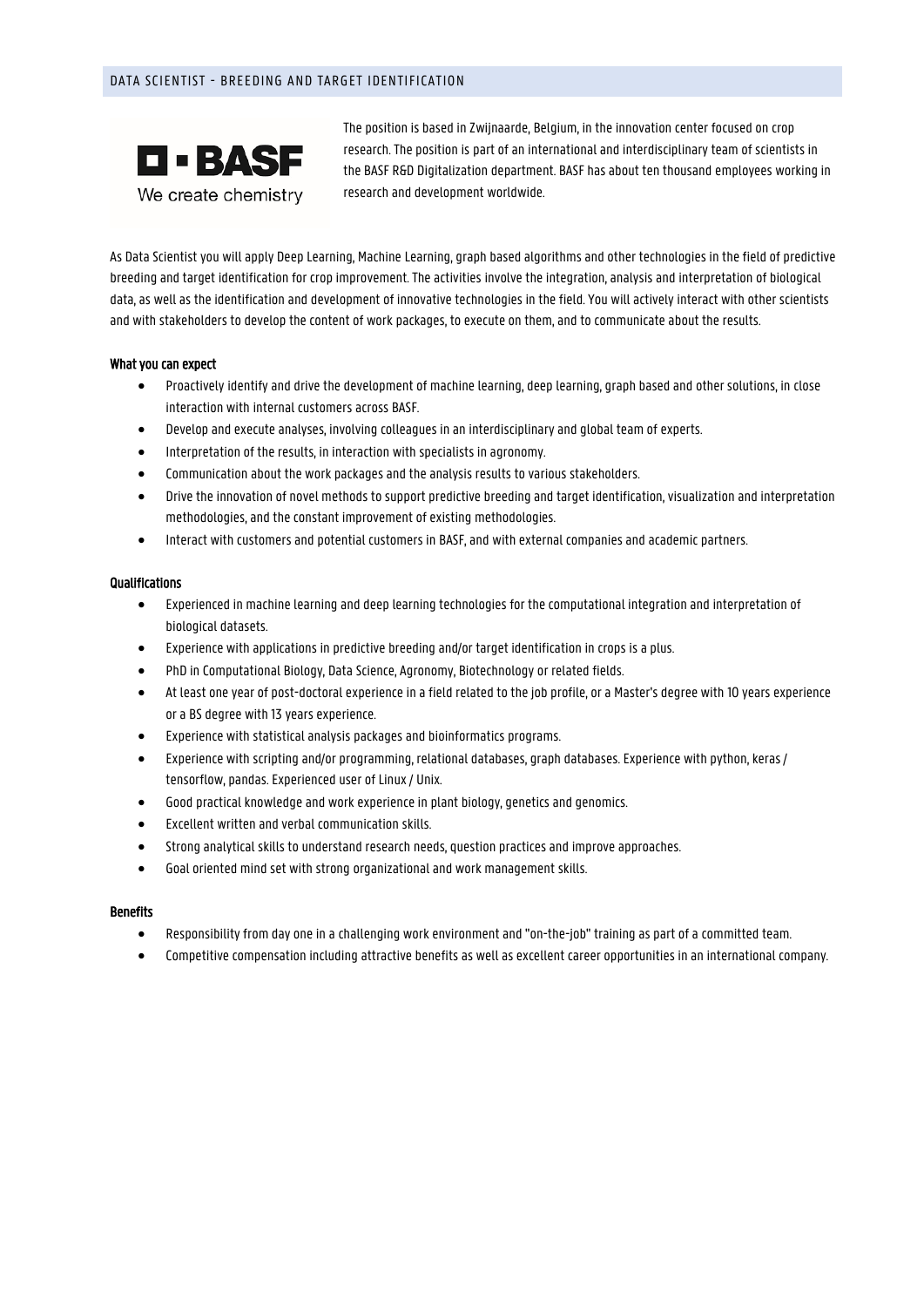# DATA SCIENTIST - BREEDING AND TARGET IDENTIFICATION



The position is based in Zwijnaarde, Belgium, in the innovation center focused on crop research. The position is part of an international and interdisciplinary team of scientists in the BASF R&D Digitalization department. BASF has about ten thousand employees working in research and development worldwide.

As Data Scientist you will apply Deep Learning, Machine Learning, graph based algorithms and other technologies in the field of predictive breeding and target identification for crop improvement. The activities involve the integration, analysis and interpretation of biological data, as well as the identification and development of innovative technologies in the field. You will actively interact with other scientists and with stakeholders to develop the content of work packages, to execute on them, and to communicate about the results.

## What you can expect

- Proactively identify and drive the development of machine learning, deep learning, graph based and other solutions, in close interaction with internal customers across BASF.
- Develop and execute analyses, involving colleagues in an interdisciplinary and global team of experts.
- Interpretation of the results, in interaction with specialists in agronomy.
- Communication about the work packages and the analysis results to various stakeholders.
- Drive the innovation of novel methods to support predictive breeding and target identification, visualization and interpretation methodologies, and the constant improvement of existing methodologies.
- Interact with customers and potential customers in BASF, and with external companies and academic partners.

## Qualifications

- Experienced in machine learning and deep learning technologies for the computational integration and interpretation of biological datasets.
- Experience with applications in predictive breeding and/or target identification in crops is a plus.
- PhD in Computational Biology, Data Science, Agronomy, Biotechnology or related fields.
- At least one year of post-doctoral experience in a field related to the job profile, or a Master's degree with 10 years experience or a BS degree with 13 years experience.
- Experience with statistical analysis packages and bioinformatics programs.
- Experience with scripting and/or programming, relational databases, graph databases. Experience with python, keras / tensorflow, pandas. Experienced user of Linux / Unix.
- Good practical knowledge and work experience in plant biology, genetics and genomics.
- Excellent written and verbal communication skills.
- Strong analytical skills to understand research needs, question practices and improve approaches.
- Goal oriented mind set with strong organizational and work management skills.

# **Benefits**

- Responsibility from day one in a challenging work environment and "on-the-job" training as part of a committed team.
- Competitive compensation including attractive benefits as well as excellent career opportunities in an international company.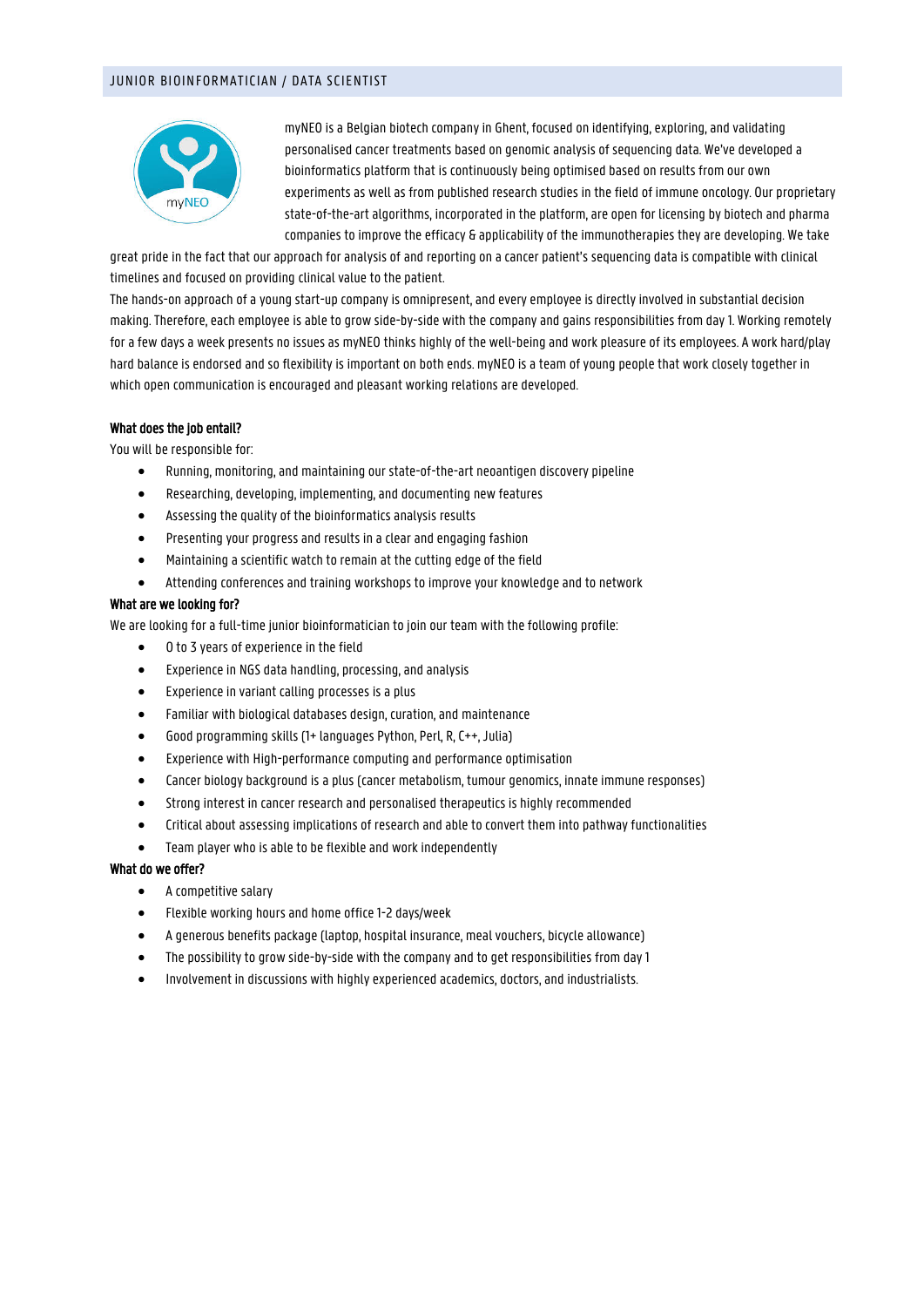# JUNIOR BIOINFORMATICIAN / DATA SCIENTIST



myNEO is a Belgian biotech company in Ghent, focused on identifying, exploring, and validating personalised cancer treatments based on genomic analysis of sequencing data. We've developed a bioinformatics platform that is continuously being optimised based on results from our own experiments as well as from published research studies in the field of immune oncology. Our proprietary state-of-the-art algorithms, incorporated in the platform, are open for licensing by biotech and pharma companies to improve the efficacy & applicability of the immunotherapies they are developing. We take

great pride in the fact that our approach for analysis of and reporting on a cancer patient's sequencing data is compatible with clinical timelines and focused on providing clinical value to the patient.

The hands-on approach of a young start-up company is omnipresent, and every employee is directly involved in substantial decision making. Therefore, each employee is able to grow side-by-side with the company and gains responsibilities from day 1. Working remotely for a few days a week presents no issues as myNEO thinks highly of the well-being and work pleasure of its employees. A work hard/play hard balance is endorsed and so flexibility is important on both ends. myNEO is a team of young people that work closely together in which open communication is encouraged and pleasant working relations are developed.

#### What does the job entail?

You will be responsible for:

- Running, monitoring, and maintaining our state-of-the-art neoantigen discovery pipeline
- Researching, developing, implementing, and documenting new features
- Assessing the quality of the bioinformatics analysis results
- Presenting your progress and results in a clear and engaging fashion
- Maintaining a scientific watch to remain at the cutting edge of the field
- Attending conferences and training workshops to improve your knowledge and to network

## What are we looking for?

We are looking for a full-time junior bioinformatician to join our team with the following profile:

- 0 to 3 years of experience in the field
- Experience in NGS data handling, processing, and analysis
- Experience in variant calling processes is a plus
- Familiar with biological databases design, curation, and maintenance
- Good programming skills (1+ languages Python, Perl, R, C++, Julia)
- Experience with High-performance computing and performance optimisation
- Cancer biology background is a plus (cancer metabolism, tumour genomics, innate immune responses)
- Strong interest in cancer research and personalised therapeutics is highly recommended
- Critical about assessing implications of research and able to convert them into pathway functionalities
- Team player who is able to be flexible and work independently

## What do we offer?

- A competitive salary
- Flexible working hours and home office 1-2 days/week
- A generous benefits package (laptop, hospital insurance, meal vouchers, bicycle allowance)
- The possibility to grow side-by-side with the company and to get responsibilities from day 1
- Involvement in discussions with highly experienced academics, doctors, and industrialists.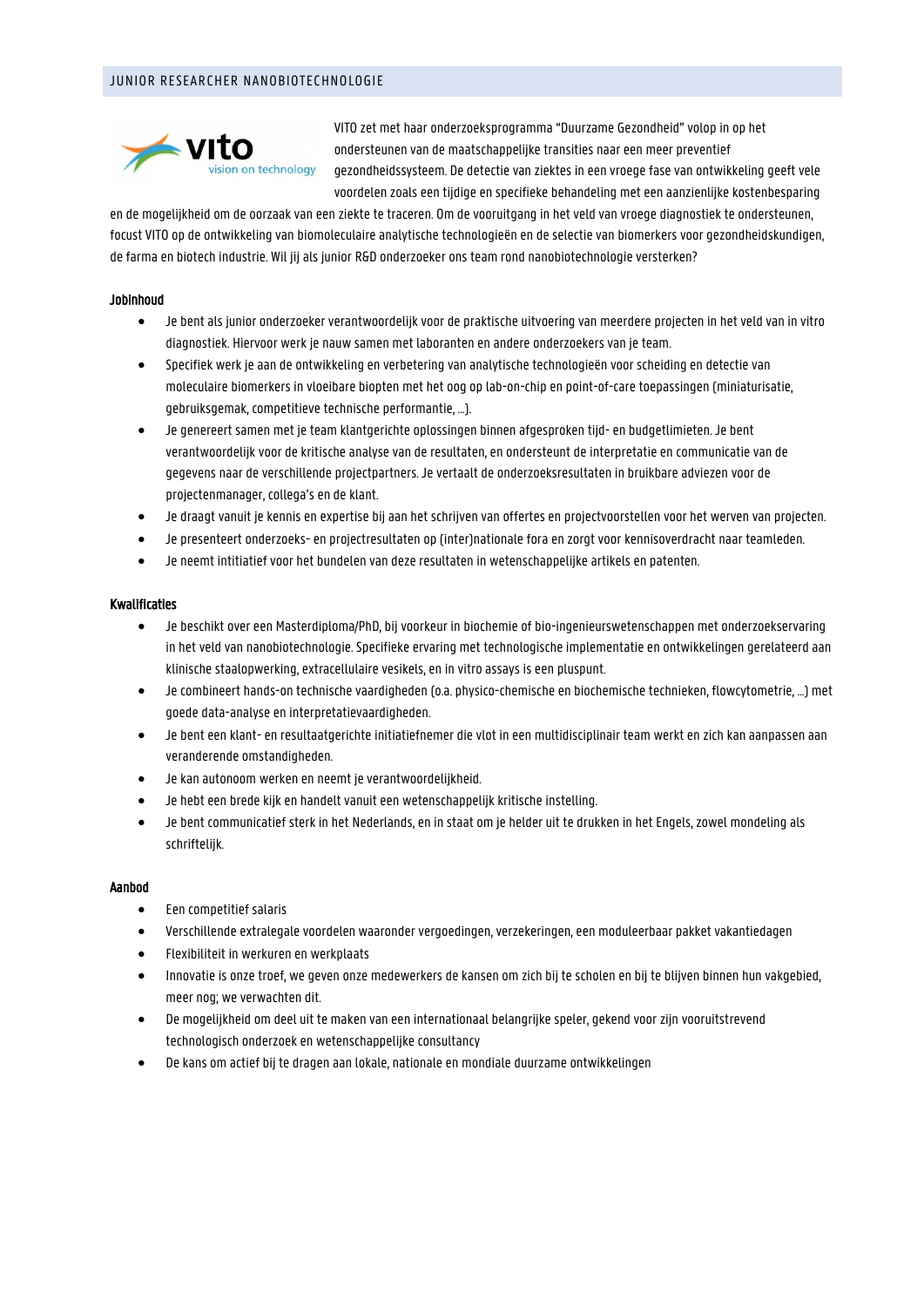# JUNIOR RESEARCHER NANOBIOTECHNOLOGIE



VITO zet met haar onderzoeksprogramma "Duurzame Gezondheid" volop in op het ondersteunen van de maatschappelijke transities naar een meer preventief gezondheidssysteem. De detectie van ziektes in een vroege fase van ontwikkeling geeft vele voordelen zoals een tijdige en specifieke behandeling met een aanzienlijke kostenbesparing

en de mogelijkheid om de oorzaak van een ziekte te traceren. Om de vooruitgang in het veld van vroege diagnostiek te ondersteunen, focust VITO op de ontwikkeling van biomoleculaire analytische technologieën en de selectie van biomerkers voor gezondheidskundigen, de farma en biotech industrie. Wil jij als junior R&D onderzoeker ons team rond nanobiotechnologie versterken?

## Jobinhoud

- Je bent als junior onderzoeker verantwoordelijk voor de praktische uitvoering van meerdere projecten in het veld van in vitro diagnostiek. Hiervoor werk je nauw samen met laboranten en andere onderzoekers van je team.
- Specifiek werk je aan de ontwikkeling en verbetering van analytische technologieën voor scheiding en detectie van moleculaire biomerkers in vloeibare biopten met het oog op lab-on-chip en point-of-care toepassingen (miniaturisatie, gebruiksgemak, competitieve technische performantie, …).
- Je genereert samen met je team klantgerichte oplossingen binnen afgesproken tijd- en budgetlimieten. Je bent verantwoordelijk voor de kritische analyse van de resultaten, en ondersteunt de interpretatie en communicatie van de gegevens naar de verschillende projectpartners. Je vertaalt de onderzoeksresultaten in bruikbare adviezen voor de projectenmanager, collega's en de klant.
- Je draagt vanuit je kennis en expertise bij aan het schrijven van offertes en projectvoorstellen voor het werven van projecten.
- Je presenteert onderzoeks- en projectresultaten op (inter)nationale fora en zorgt voor kennisoverdracht naar teamleden.
- Je neemt intitiatief voor het bundelen van deze resultaten in wetenschappelijke artikels en patenten.

## Kwalificaties

- Je beschikt over een Masterdiploma/PhD, bij voorkeur in biochemie of bio-ingenieurswetenschappen met onderzoekservaring in het veld van nanobiotechnologie. Specifieke ervaring met technologische implementatie en ontwikkelingen gerelateerd aan klinische staalopwerking, extracellulaire vesikels, en in vitro assays is een pluspunt.
- Je combineert hands-on technische vaardigheden (o.a. physico-chemische en biochemische technieken, flowcytometrie, …) met goede data-analyse en interpretatievaardigheden.
- Je bent een klant- en resultaatgerichte initiatiefnemer die vlot in een multidisciplinair team werkt en zich kan aanpassen aan veranderende omstandigheden.
- Je kan autonoom werken en neemt je verantwoordelijkheid.
- Je hebt een brede kijk en handelt vanuit een wetenschappelijk kritische instelling.
- Je bent communicatief sterk in het Nederlands, en in staat om je helder uit te drukken in het Engels, zowel mondeling als schriftelijk.

## Aanbod

- Een competitief salaris
- Verschillende extralegale voordelen waaronder vergoedingen, verzekeringen, een moduleerbaar pakket vakantiedagen
- Flexibiliteit in werkuren en werkplaats
- Innovatie is onze troef, we geven onze medewerkers de kansen om zich bij te scholen en bij te blijven binnen hun vakgebied, meer nog; we verwachten dit.
- De mogelijkheid om deel uit te maken van een internationaal belangrijke speler, gekend voor zijn vooruitstrevend technologisch onderzoek en wetenschappelijke consultancy
- De kans om actief bij te dragen aan lokale, nationale en mondiale duurzame ontwikkelingen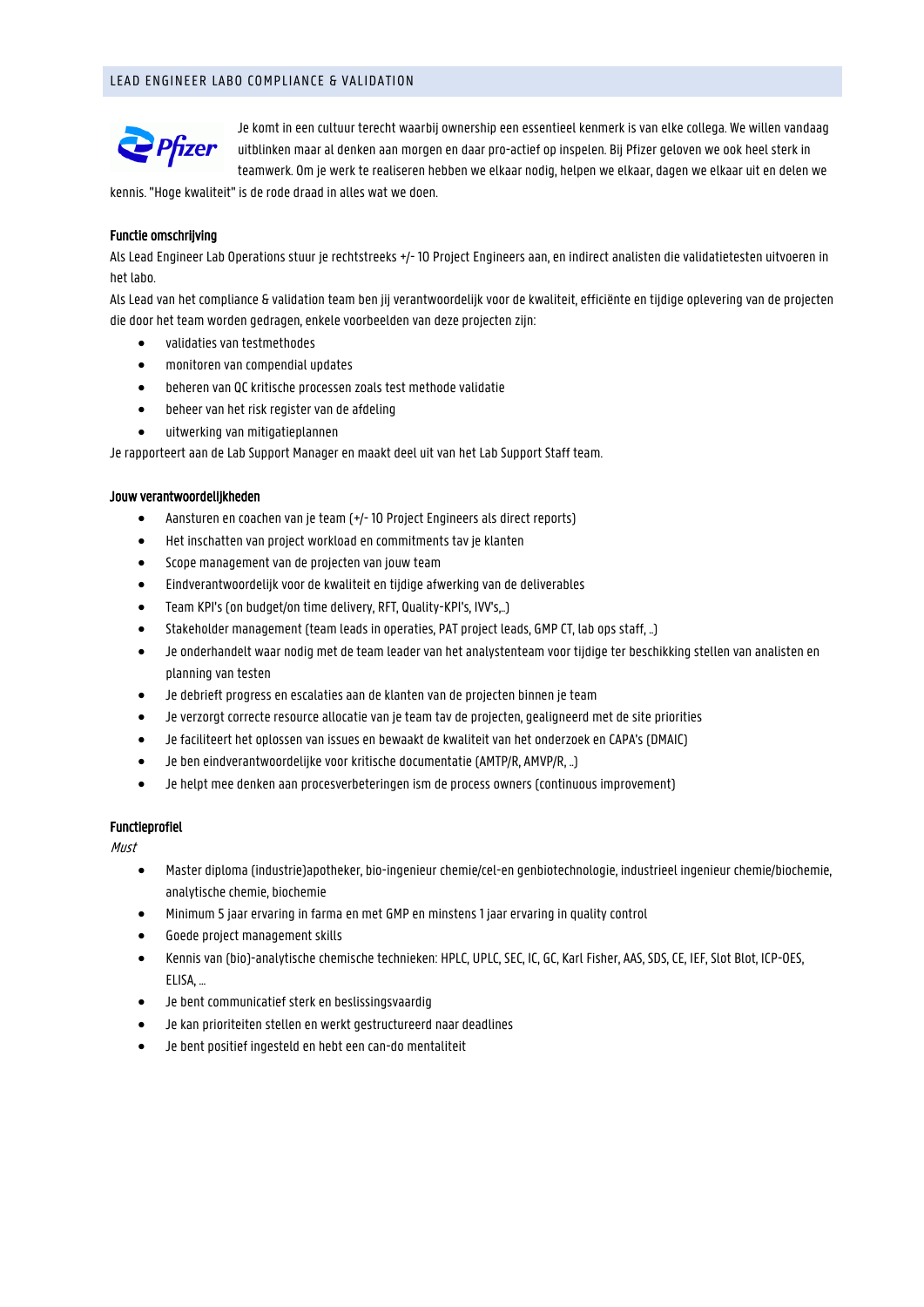# LEAD ENGINEER LABO COMPLIANCE & VALIDATION



Je komt in een cultuur terecht waarbij ownership een essentieel kenmerk is van elke collega. We willen vandaag uitblinken maar al denken aan morgen en daar pro-actief op inspelen. Bij Pfizer geloven we ook heel sterk in teamwerk. Om je werk te realiseren hebben we elkaar nodig, helpen we elkaar, dagen we elkaar uit en delen we

kennis. "Hoge kwaliteit" is de rode draad in alles wat we doen.

## Functie omschrijving

Als Lead Engineer Lab Operations stuur je rechtstreeks +/- 10 Project Engineers aan, en indirect analisten die validatietesten uitvoeren in het labo.

Als Lead van het compliance & validation team ben jij verantwoordelijk voor de kwaliteit, efficiënte en tijdige oplevering van de projecten die door het team worden gedragen, enkele voorbeelden van deze projecten zijn:

- validaties van testmethodes
- monitoren van compendial updates
- beheren van QC kritische processen zoals test methode validatie
- beheer van het risk register van de afdeling
- uitwerking van mitigatieplannen

Je rapporteert aan de Lab Support Manager en maakt deel uit van het Lab Support Staff team.

#### Jouw verantwoordelijkheden

- Aansturen en coachen van je team (+/- 10 Project Engineers als direct reports)
- Het inschatten van project workload en commitments tav je klanten
- Scope management van de projecten van jouw team
- Eindverantwoordelijk voor de kwaliteit en tijdige afwerking van de deliverables
- Team KPI's (on budget/on time delivery, RFT, Quality-KPI's, IVV's,..)
- Stakeholder management (team leads in operaties, PAT project leads, GMP CT, lab ops staff, ..)
- Je onderhandelt waar nodig met de team leader van het analystenteam voor tijdige ter beschikking stellen van analisten en planning van testen
- Je debrieft progress en escalaties aan de klanten van de projecten binnen je team
- Je verzorgt correcte resource allocatie van je team tav de projecten, gealigneerd met de site priorities
- Je faciliteert het oplossen van issues en bewaakt de kwaliteit van het onderzoek en CAPA's (DMAIC)
- Je ben eindverantwoordelijke voor kritische documentatie (AMTP/R, AMVP/R, ..)
- Je helpt mee denken aan procesverbeteringen ism de process owners (continuous improvement)

## Functieprofiel

Must

- Master diploma (industrie)apotheker, bio-ingenieur chemie/cel-en genbiotechnologie, industrieel ingenieur chemie/biochemie, analytische chemie, biochemie
- Minimum 5 jaar ervaring in farma en met GMP en minstens 1 jaar ervaring in quality control
- Goede project management skills
- Kennis van (bio)-analytische chemische technieken: HPLC, UPLC, SEC, IC, GC, Karl Fisher, AAS, SDS, CE, IEF, Slot Blot, ICP-OES, ELISA, …
- Je bent communicatief sterk en beslissingsvaardig
- Je kan prioriteiten stellen en werkt gestructureerd naar deadlines
- Je bent positief ingesteld en hebt een can-do mentaliteit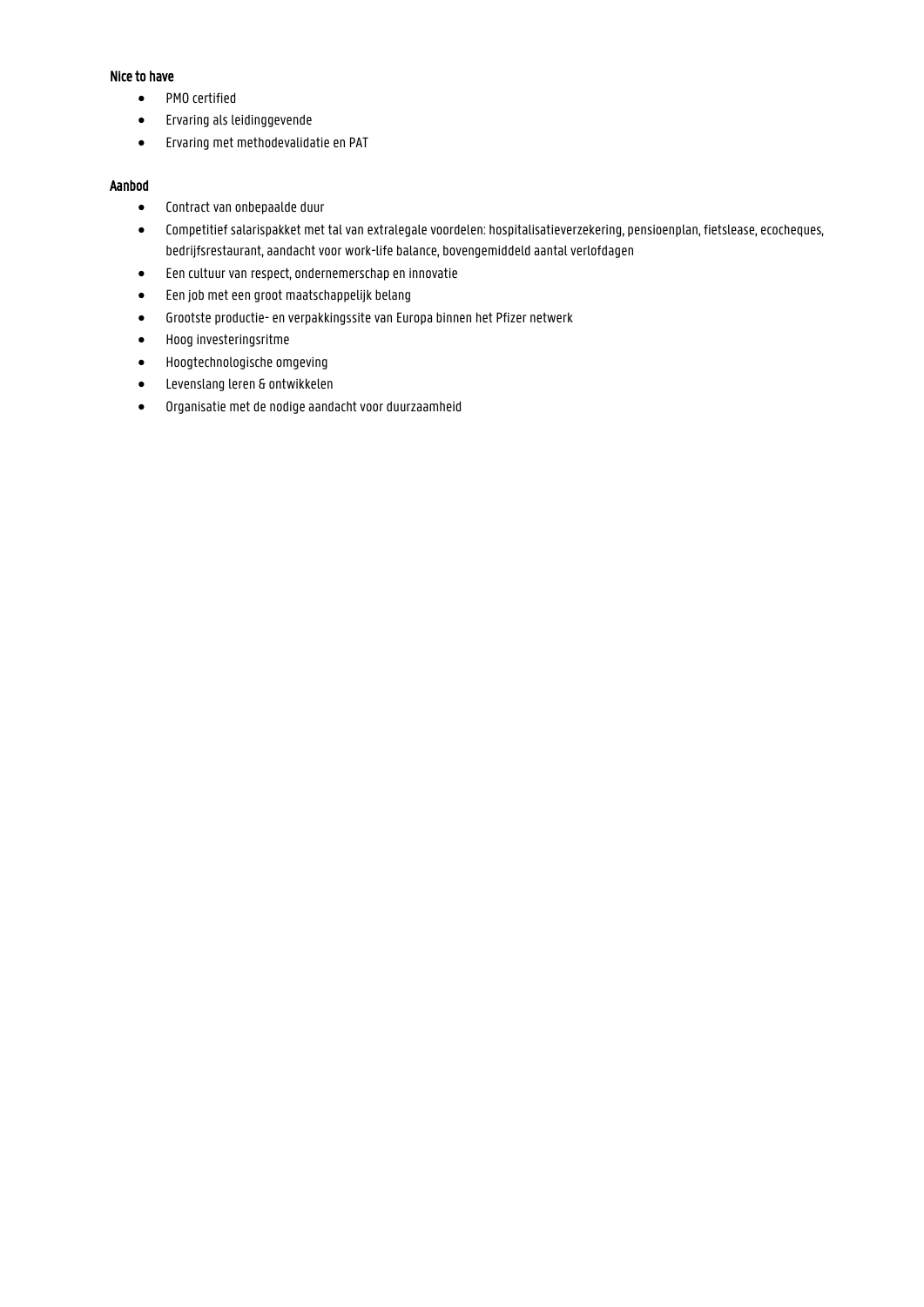# Nice to have

- PMO certified
- Ervaring als leidinggevende
- Ervaring met methodevalidatie en PAT

# Aanbod

- Contract van onbepaalde duur
- Competitief salarispakket met tal van extralegale voordelen: hospitalisatieverzekering, pensioenplan, fietslease, ecocheques, bedrijfsrestaurant, aandacht voor work-life balance, bovengemiddeld aantal verlofdagen
- Een cultuur van respect, ondernemerschap en innovatie
- Een job met een groot maatschappelijk belang
- Grootste productie- en verpakkingssite van Europa binnen het Pfizer netwerk
- Hoog investeringsritme
- Hoogtechnologische omgeving
- Levenslang leren & ontwikkelen
- Organisatie met de nodige aandacht voor duurzaamheid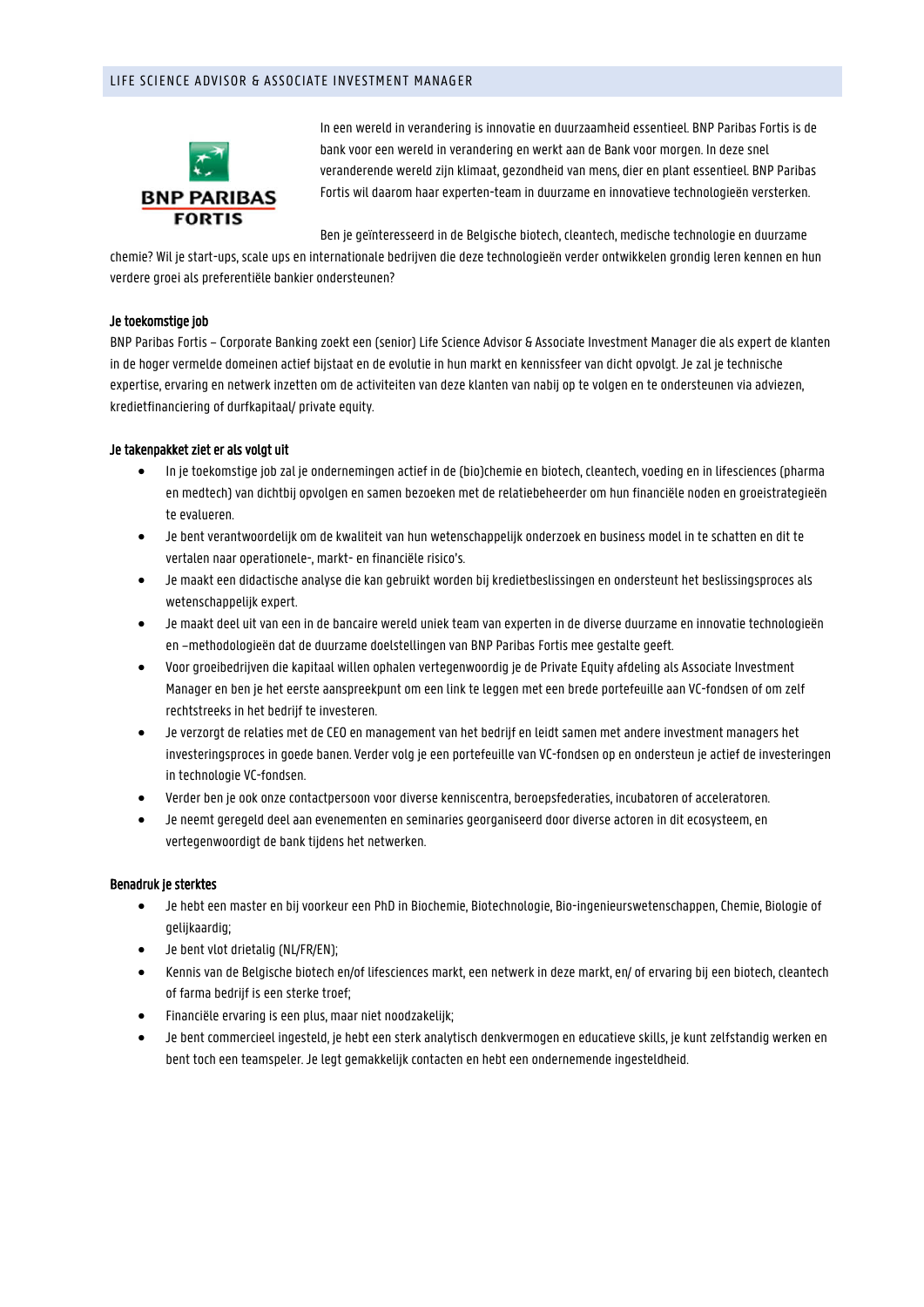# LIFE SCIENCE ADVISOR & ASSOCIATE INVESTMENT MANAGER



In een wereld in verandering is innovatie en duurzaamheid essentieel. BNP Paribas Fortis is de bank voor een wereld in verandering en werkt aan de Bank voor morgen. In deze snel veranderende wereld zijn klimaat, gezondheid van mens, dier en plant essentieel. BNP Paribas Fortis wil daarom haar experten-team in duurzame en innovatieve technologieën versterken.

Ben je geïnteresseerd in de Belgische biotech, cleantech, medische technologie en duurzame

chemie? Wil je start-ups, scale ups en internationale bedrijven die deze technologieën verder ontwikkelen grondig leren kennen en hun verdere groei als preferentiële bankier ondersteunen?

## Je toekomstige job

BNP Paribas Fortis – Corporate Banking zoekt een (senior) Life Science Advisor & Associate Investment Manager die als expert de klanten in de hoger vermelde domeinen actief bijstaat en de evolutie in hun markt en kennissfeer van dicht opvolgt. Je zal je technische expertise, ervaring en netwerk inzetten om de activiteiten van deze klanten van nabij op te volgen en te ondersteunen via adviezen, kredietfinanciering of durfkapitaal/ private equity.

## Je takenpakket ziet er als volgt uit

- In je toekomstige job zal je ondernemingen actief in de (bio)chemie en biotech, cleantech, voeding en in lifesciences (pharma en medtech) van dichtbij opvolgen en samen bezoeken met de relatiebeheerder om hun financiële noden en groeistrategieën te evalueren.
- Je bent verantwoordelijk om de kwaliteit van hun wetenschappelijk onderzoek en business model in te schatten en dit te vertalen naar operationele-, markt- en financiële risico's.
- Je maakt een didactische analyse die kan gebruikt worden bij kredietbeslissingen en ondersteunt het beslissingsproces als wetenschappelijk expert.
- Je maakt deel uit van een in de bancaire wereld uniek team van experten in de diverse duurzame en innovatie technologieën en –methodologieën dat de duurzame doelstellingen van BNP Paribas Fortis mee gestalte geeft.
- Voor groeibedrijven die kapitaal willen ophalen vertegenwoordig je de Private Equity afdeling als Associate Investment Manager en ben je het eerste aanspreekpunt om een link te leggen met een brede portefeuille aan VC-fondsen of om zelf rechtstreeks in het bedrijf te investeren.
- Je verzorgt de relaties met de CEO en management van het bedrijf en leidt samen met andere investment managers het investeringsproces in goede banen. Verder volg je een portefeuille van VC-fondsen op en ondersteun je actief de investeringen in technologie VC-fondsen.
- Verder ben je ook onze contactpersoon voor diverse kenniscentra, beroepsfederaties, incubatoren of acceleratoren.
- Je neemt geregeld deel aan evenementen en seminaries georganiseerd door diverse actoren in dit ecosysteem, en vertegenwoordigt de bank tijdens het netwerken.

## Benadruk je sterktes

- Je hebt een master en bij voorkeur een PhD in Biochemie, Biotechnologie, Bio-ingenieurswetenschappen, Chemie, Biologie of gelijkaardig;
- Je bent vlot drietalig (NL/FR/EN);
- Kennis van de Belgische biotech en/of lifesciences markt, een netwerk in deze markt, en/ of ervaring bij een biotech, cleantech of farma bedrijf is een sterke troef;
- Financiële ervaring is een plus, maar niet noodzakelijk;
- Je bent commercieel ingesteld, je hebt een sterk analytisch denkvermogen en educatieve skills, je kunt zelfstandig werken en bent toch een teamspeler. Je legt gemakkelijk contacten en hebt een ondernemende ingesteldheid.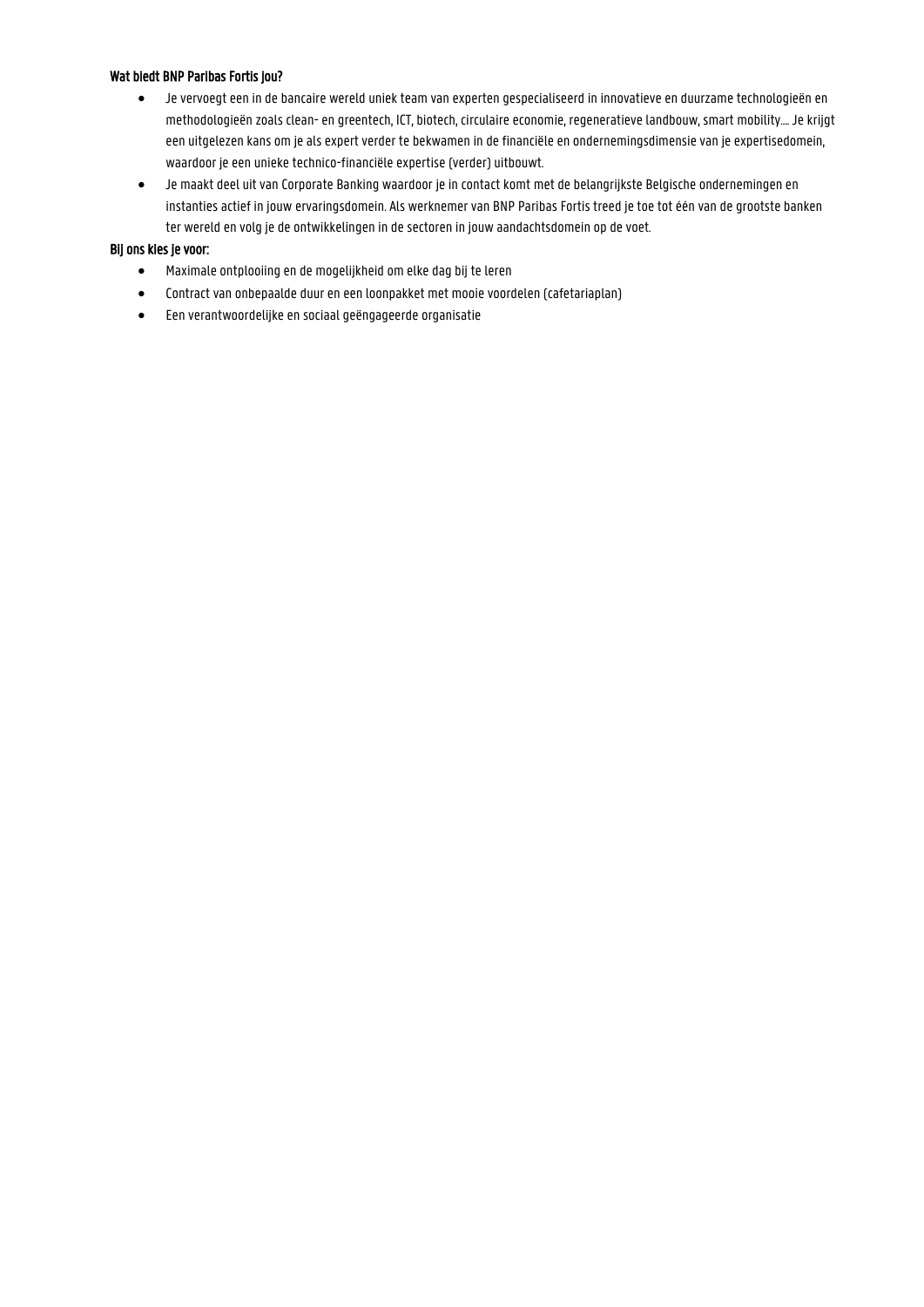# Wat biedt BNP Paribas Fortis jou?

- Je vervoegt een in de bancaire wereld uniek team van experten gespecialiseerd in innovatieve en duurzame technologieën en methodologieën zoals clean- en greentech, ICT, biotech, circulaire economie, regeneratieve landbouw, smart mobility…. Je krijgt een uitgelezen kans om je als expert verder te bekwamen in de financiële en ondernemingsdimensie van je expertisedomein, waardoor je een unieke technico-financiële expertise (verder) uitbouwt.
- Je maakt deel uit van Corporate Banking waardoor je in contact komt met de belangrijkste Belgische ondernemingen en instanties actief in jouw ervaringsdomein. Als werknemer van BNP Paribas Fortis treed je toe tot één van de grootste banken ter wereld en volg je de ontwikkelingen in de sectoren in jouw aandachtsdomein op de voet.

# Bij ons kies je voor:

- Maximale ontplooiing en de mogelijkheid om elke dag bij te leren
- Contract van onbepaalde duur en een loonpakket met mooie voordelen (cafetariaplan)
- Een verantwoordelijke en sociaal geëngageerde organisatie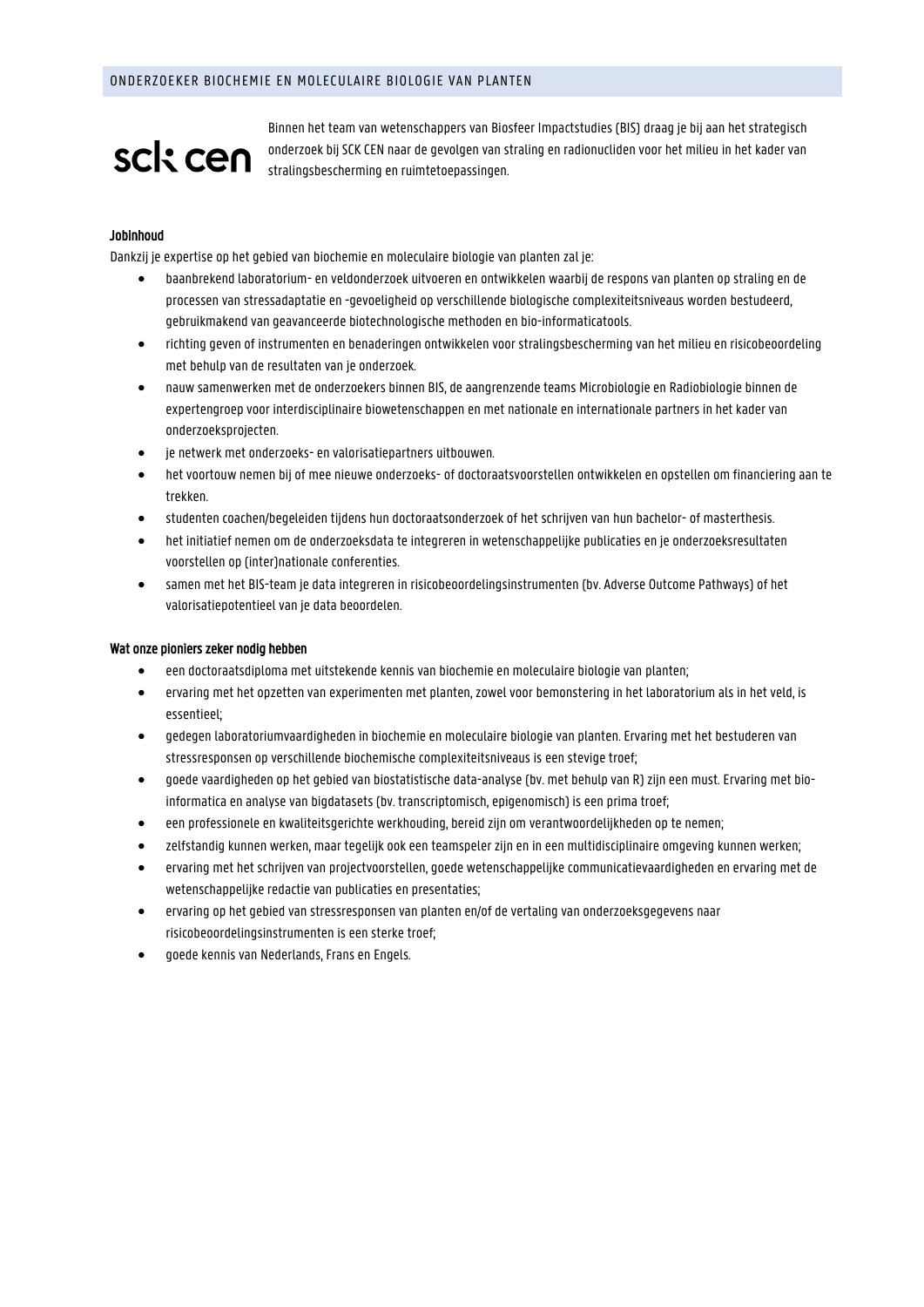# sck cen

Binnen het team van wetenschappers van Biosfeer Impactstudies (BIS) draag je bij aan het strategisch onderzoek bij SCK CEN naar de gevolgen van straling en radionucliden voor het milieu in het kader van stralingsbescherming en ruimtetoepassingen.

# Jobinhoud

Dankzij je expertise op het gebied van biochemie en moleculaire biologie van planten zal je:

- baanbrekend laboratorium- en veldonderzoek uitvoeren en ontwikkelen waarbij de respons van planten op straling en de processen van stressadaptatie en -gevoeligheid op verschillende biologische complexiteitsniveaus worden bestudeerd, gebruikmakend van geavanceerde biotechnologische methoden en bio-informaticatools.
- richting geven of instrumenten en benaderingen ontwikkelen voor stralingsbescherming van het milieu en risicobeoordeling met behulp van de resultaten van je onderzoek.
- nauw samenwerken met de onderzoekers binnen BIS, de aangrenzende teams Microbiologie en Radiobiologie binnen de expertengroep voor interdisciplinaire biowetenschappen en met nationale en internationale partners in het kader van onderzoeksprojecten.
- je netwerk met onderzoeks- en valorisatiepartners uitbouwen.
- het voortouw nemen bij of mee nieuwe onderzoeks- of doctoraatsvoorstellen ontwikkelen en opstellen om financiering aan te trekken.
- studenten coachen/begeleiden tijdens hun doctoraatsonderzoek of het schrijven van hun bachelor- of masterthesis.
- het initiatief nemen om de onderzoeksdata te integreren in wetenschappelijke publicaties en je onderzoeksresultaten voorstellen op (inter)nationale conferenties.
- samen met het BIS-team je data integreren in risicobeoordelingsinstrumenten (bv. Adverse Outcome Pathways) of het valorisatiepotentieel van je data beoordelen.

## Wat onze pioniers zeker nodig hebben

- een doctoraatsdiploma met uitstekende kennis van biochemie en moleculaire biologie van planten;
- ervaring met het opzetten van experimenten met planten, zowel voor bemonstering in het laboratorium als in het veld, is essentieel;
- gedegen laboratoriumvaardigheden in biochemie en moleculaire biologie van planten. Ervaring met het bestuderen van stressresponsen op verschillende biochemische complexiteitsniveaus is een stevige troef;
- goede vaardigheden op het gebied van biostatistische data-analyse (bv. met behulp van R) zijn een must. Ervaring met bioinformatica en analyse van bigdatasets (bv. transcriptomisch, epigenomisch) is een prima troef;
- een professionele en kwaliteitsgerichte werkhouding, bereid zijn om verantwoordelijkheden op te nemen;
- zelfstandig kunnen werken, maar tegelijk ook een teamspeler zijn en in een multidisciplinaire omgeving kunnen werken;
- ervaring met het schrijven van projectvoorstellen, goede wetenschappelijke communicatievaardigheden en ervaring met de wetenschappelijke redactie van publicaties en presentaties;
- ervaring op het gebied van stressresponsen van planten en/of de vertaling van onderzoeksgegevens naar risicobeoordelingsinstrumenten is een sterke troef;
- goede kennis van Nederlands, Frans en Engels.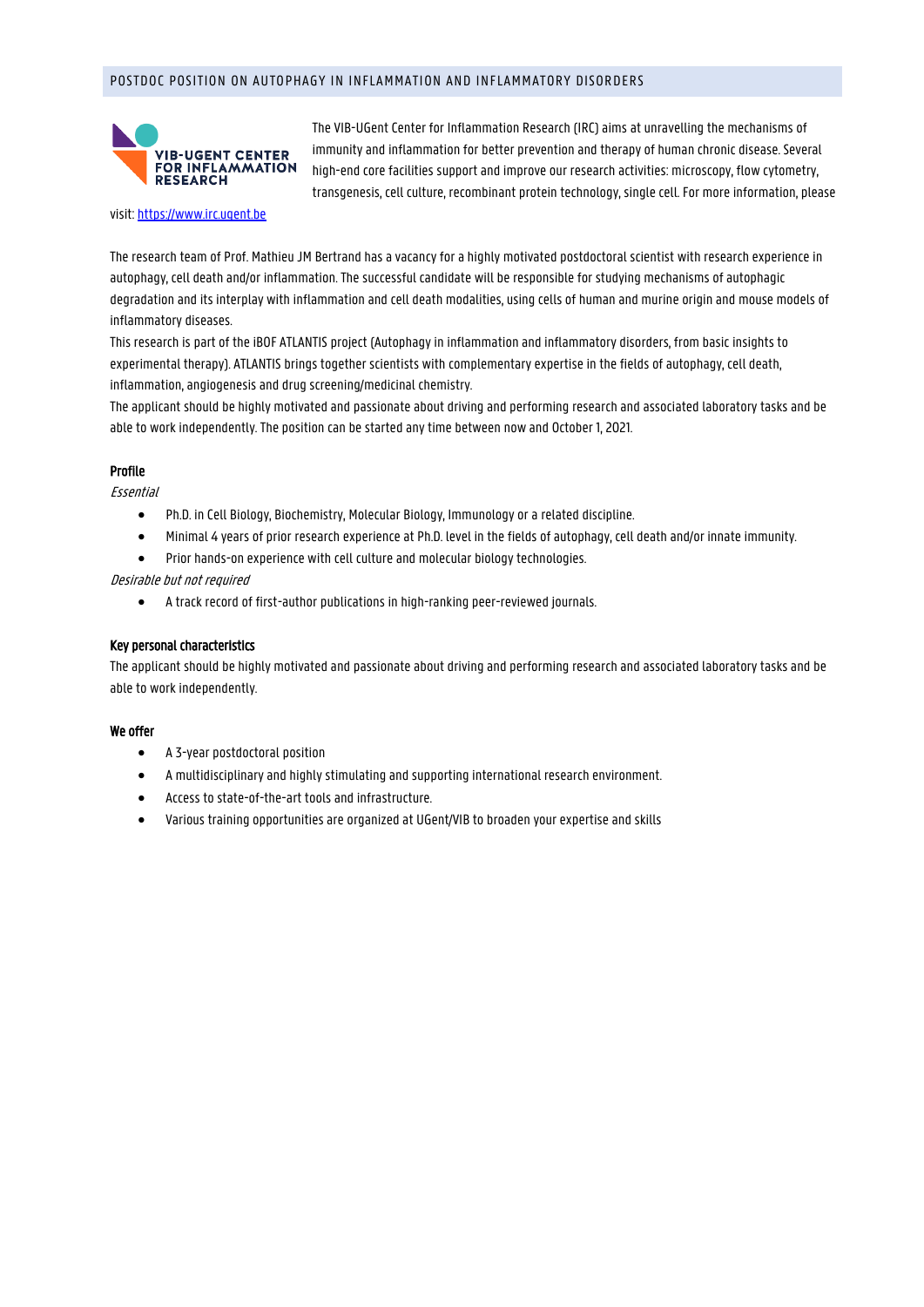# POSTDOC POSITION ON AUTOPHAGY IN INFLAMMATION AND INFLAMMATORY DISORDERS



The VIB-UGent Center for Inflammation Research (IRC) aims at unravelling the mechanisms of immunity and inflammation for better prevention and therapy of human chronic disease. Several high-end core facilities support and improve our research activities: microscopy, flow cytometry, transgenesis, cell culture, recombinant protein technology, single cell. For more information, please

#### visit: [https://www.irc.ugent.be](https://www.irc.ugent.be/)

The research team of Prof. Mathieu JM Bertrand has a vacancy for a highly motivated postdoctoral scientist with research experience in autophagy, cell death and/or inflammation. The successful candidate will be responsible for studying mechanisms of autophagic degradation and its interplay with inflammation and cell death modalities, using cells of human and murine origin and mouse models of inflammatory diseases.

This research is part of the iBOF ATLANTIS project (Autophagy in inflammation and inflammatory disorders, from basic insights to experimental therapy). ATLANTIS brings together scientists with complementary expertise in the fields of autophagy, cell death, inflammation, angiogenesis and drug screening/medicinal chemistry.

The applicant should be highly motivated and passionate about driving and performing research and associated laboratory tasks and be able to work independently. The position can be started any time between now and October 1, 2021.

## Profile

Essential

- Ph.D. in Cell Biology, Biochemistry, Molecular Biology, Immunology or a related discipline.
- Minimal 4 years of prior research experience at Ph.D. level in the fields of autophagy, cell death and/or innate immunity.
- Prior hands-on experience with cell culture and molecular biology technologies.

## Desirable but not required

• A track record of first-author publications in high-ranking peer-reviewed journals.

## Key personal characteristics

The applicant should be highly motivated and passionate about driving and performing research and associated laboratory tasks and be able to work independently.

## We offer

- A 3-year postdoctoral position
- A multidisciplinary and highly stimulating and supporting international research environment.
- Access to state-of-the-art tools and infrastructure.
- Various training opportunities are organized at UGent/VIB to broaden your expertise and skills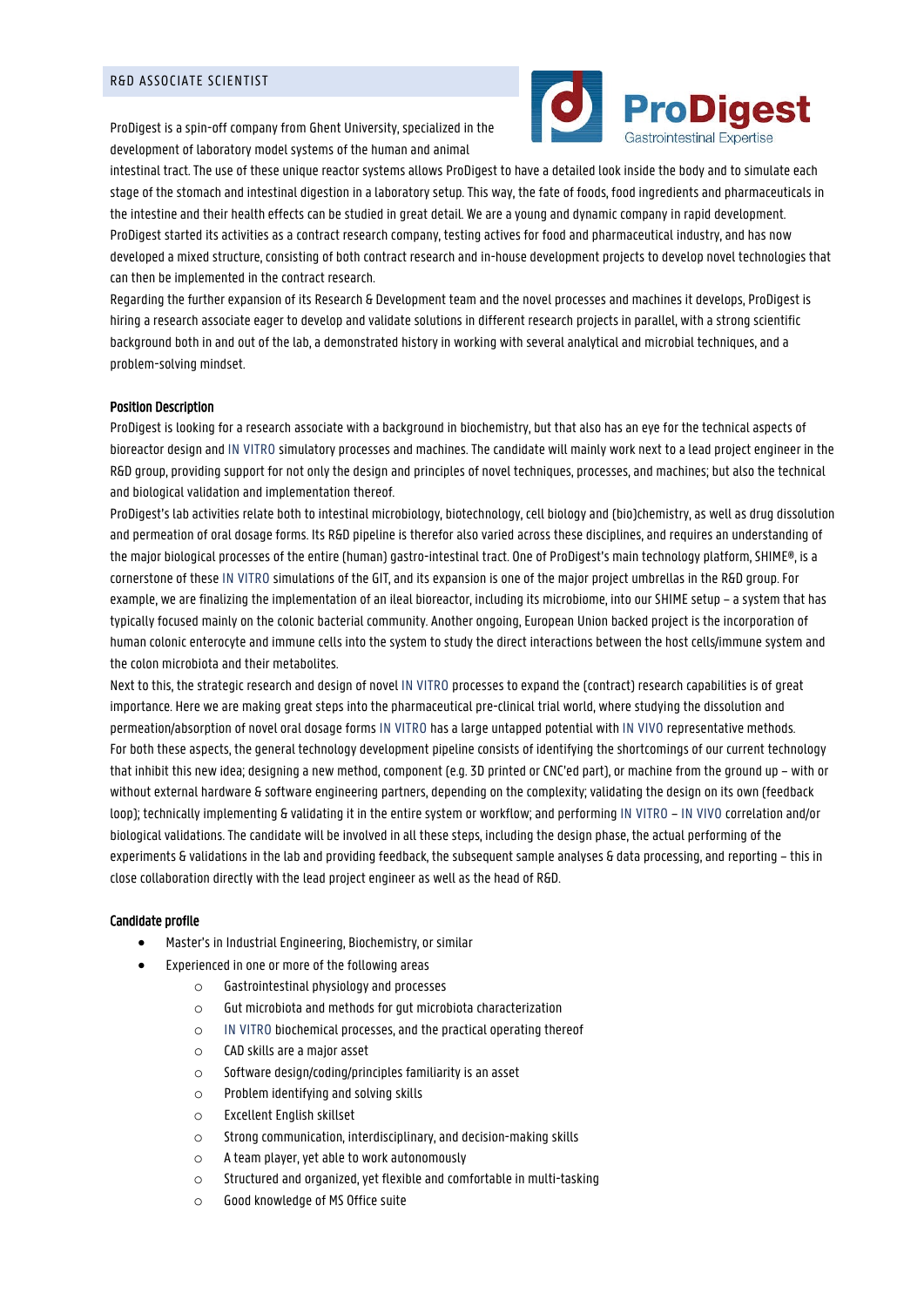ProDigest is a spin-off company from Ghent University, specialized in the development of laboratory model systems of the human and animal



intestinal tract. The use of these unique reactor systems allows ProDigest to have a detailed look inside the body and to simulate each stage of the stomach and intestinal digestion in a laboratory setup. This way, the fate of foods, food ingredients and pharmaceuticals in the intestine and their health effects can be studied in great detail. We are a young and dynamic company in rapid development. ProDigest started its activities as a contract research company, testing actives for food and pharmaceutical industry, and has now developed a mixed structure, consisting of both contract research and in-house development projects to develop novel technologies that can then be implemented in the contract research.

Regarding the further expansion of its Research & Development team and the novel processes and machines it develops, ProDigest is hiring a research associate eager to develop and validate solutions in different research projects in parallel, with a strong scientific background both in and out of the lab, a demonstrated history in working with several analytical and microbial techniques, and a problem-solving mindset.

## Position Description

ProDigest is looking for a research associate with a background in biochemistry, but that also has an eye for the technical aspects of bioreactor design and IN VITRO simulatory processes and machines. The candidate will mainly work next to a lead project engineer in the R&D group, providing support for not only the design and principles of novel techniques, processes, and machines; but also the technical and biological validation and implementation thereof.

ProDigest's lab activities relate both to intestinal microbiology, biotechnology, cell biology and (bio)chemistry, as well as drug dissolution and permeation of oral dosage forms. Its R&D pipeline is therefor also varied across these disciplines, and requires an understanding of the major biological processes of the entire (human) gastro-intestinal tract. One of ProDigest's main technology platform, SHIME®, is a cornerstone of these IN VITRO simulations of the GIT, and its expansion is one of the major project umbrellas in the R&D group. For example, we are finalizing the implementation of an ileal bioreactor, including its microbiome, into our SHIME setup – a system that has typically focused mainly on the colonic bacterial community. Another ongoing, European Union backed project is the incorporation of human colonic enterocyte and immune cells into the system to study the direct interactions between the host cells/immune system and the colon microbiota and their metabolites.

Next to this, the strategic research and design of novel IN VITRO processes to expand the (contract) research capabilities is of great importance. Here we are making great steps into the pharmaceutical pre-clinical trial world, where studying the dissolution and permeation/absorption of novel oral dosage forms IN VITRO has a large untapped potential with IN VIVO representative methods. For both these aspects, the general technology development pipeline consists of identifying the shortcomings of our current technology that inhibit this new idea; designing a new method, component (e.g. 3D printed or CNC'ed part), or machine from the ground up – with or without external hardware & software engineering partners, depending on the complexity; validating the design on its own (feedback loop); technically implementing & validating it in the entire system or workflow; and performing IN VITRO – IN VIVO correlation and/or biological validations. The candidate will be involved in all these steps, including the design phase, the actual performing of the experiments & validations in the lab and providing feedback, the subsequent sample analyses & data processing, and reporting – this in close collaboration directly with the lead project engineer as well as the head of R&D.

#### Candidate profile

- Master's in Industrial Engineering, Biochemistry, or similar
- Experienced in one or more of the following areas
	- o Gastrointestinal physiology and processes
	- o Gut microbiota and methods for gut microbiota characterization
	- o IN VITRO biochemical processes, and the practical operating thereof
	- o CAD skills are a major asset
	- o Software design/coding/principles familiarity is an asset
	- o Problem identifying and solving skills
	- o Excellent English skillset
	- o Strong communication, interdisciplinary, and decision-making skills
	- o A team player, yet able to work autonomously
	- o Structured and organized, yet flexible and comfortable in multi-tasking
	- o Good knowledge of MS Office suite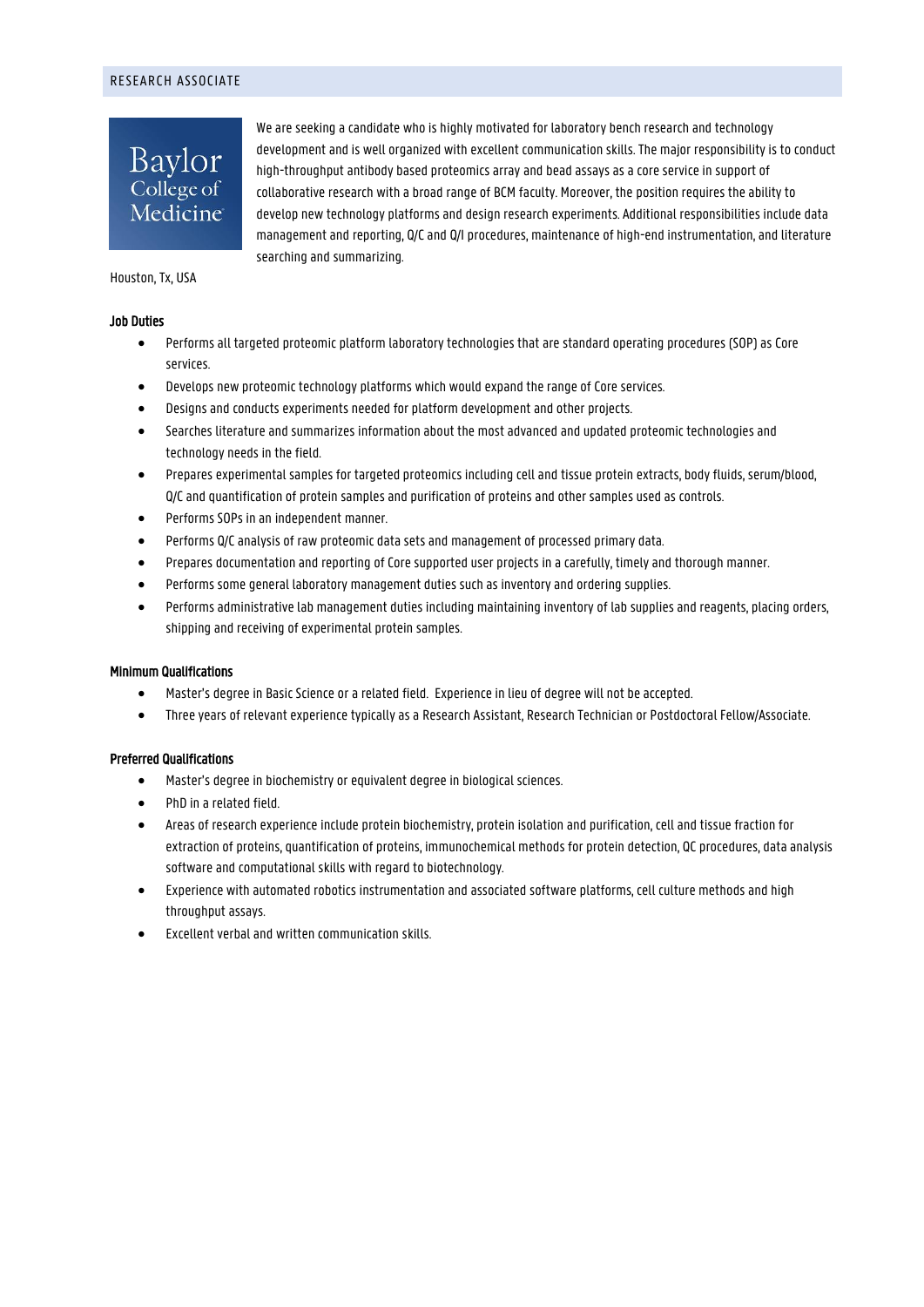# RESEARCH ASSOCIATE

Baylor College of Medicine We are seeking a candidate who is highly motivated for laboratory bench research and technology development and is well organized with excellent communication skills. The major responsibility is to conduct high-throughput antibody based proteomics array and bead assays as a core service in support of collaborative research with a broad range of BCM faculty. Moreover, the position requires the ability to develop new technology platforms and design research experiments. Additional responsibilities include data management and reporting, Q/C and Q/I procedures, maintenance of high-end instrumentation, and literature searching and summarizing.

Houston, Tx, USA

## Job Duties

- Performs all targeted proteomic platform laboratory technologies that are standard operating procedures (SOP) as Core services.
- Develops new proteomic technology platforms which would expand the range of Core services.
- Designs and conducts experiments needed for platform development and other projects.
- Searches literature and summarizes information about the most advanced and updated proteomic technologies and technology needs in the field.
- Prepares experimental samples for targeted proteomics including cell and tissue protein extracts, body fluids, serum/blood, Q/C and quantification of protein samples and purification of proteins and other samples used as controls.
- Performs SOPs in an independent manner.
- Performs Q/C analysis of raw proteomic data sets and management of processed primary data.
- Prepares documentation and reporting of Core supported user projects in a carefully, timely and thorough manner.
- Performs some general laboratory management duties such as inventory and ordering supplies.
- Performs administrative lab management duties including maintaining inventory of lab supplies and reagents, placing orders, shipping and receiving of experimental protein samples.

# Minimum Qualifications

- Master's degree in Basic Science or a related field. Experience in lieu of degree will not be accepted.
- Three years of relevant experience typically as a Research Assistant, Research Technician or Postdoctoral Fellow/Associate.

# Preferred Qualifications

- Master's degree in biochemistry or equivalent degree in biological sciences.
- PhD in a related field.
- Areas of research experience include protein biochemistry, protein isolation and purification, cell and tissue fraction for extraction of proteins, quantification of proteins, immunochemical methods for protein detection, QC procedures, data analysis software and computational skills with regard to biotechnology.
- Experience with automated robotics instrumentation and associated software platforms, cell culture methods and high throughput assays.
- Excellent verbal and written communication skills.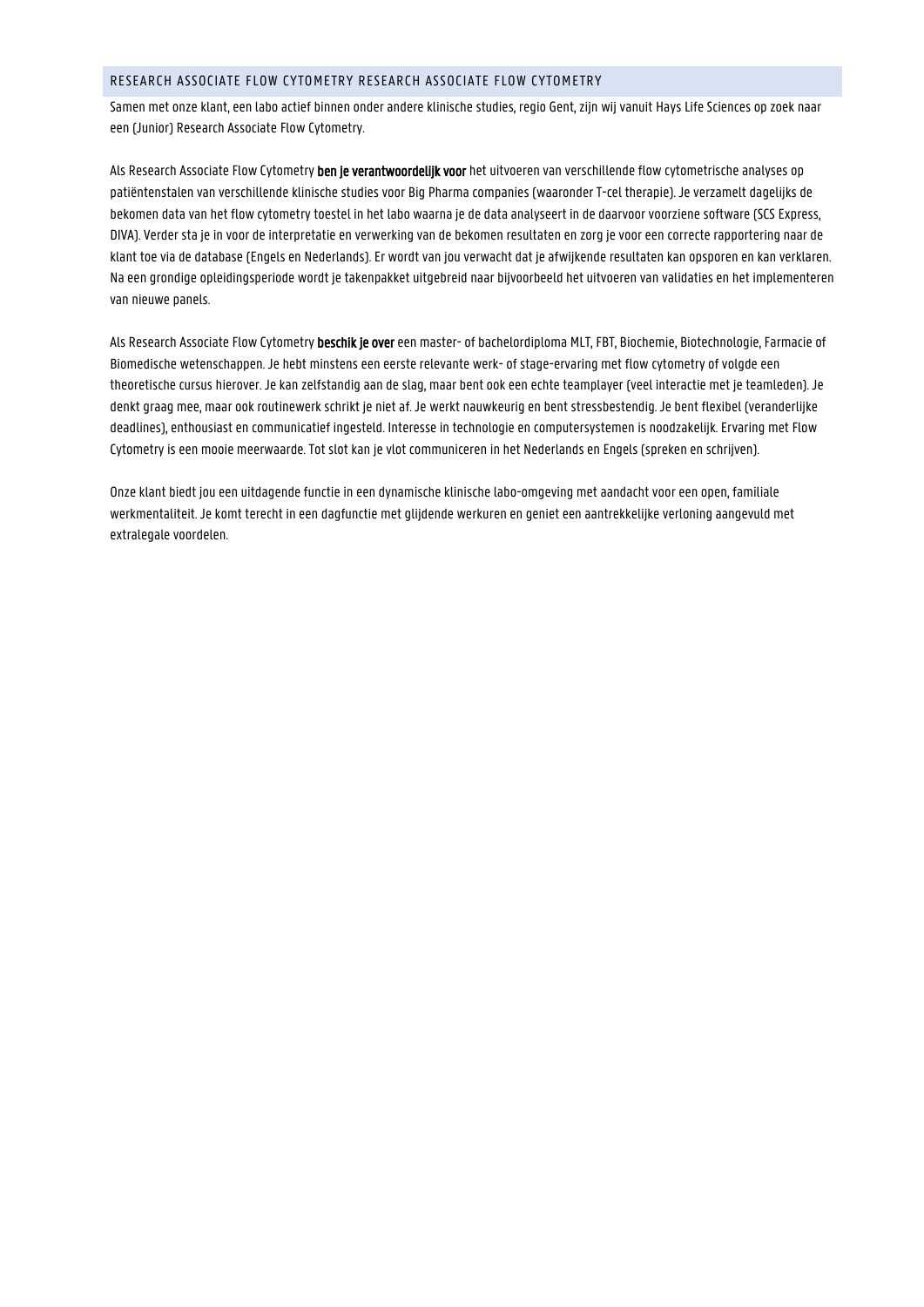# RESEARCH ASSOCIATE FLOW CYTOMETRY RESEARCH ASSOCIATE FLOW CYTOMETRY

Samen met onze klant, een labo actief binnen onder andere klinische studies, regio Gent, zijn wij vanuit Hays Life Sciences op zoek naar een (Junior) Research Associate Flow Cytometry.

Als Research Associate Flow Cytometry ben je verantwoordelijk voor het uitvoeren van verschillende flow cytometrische analyses op patiëntenstalen van verschillende klinische studies voor Big Pharma companies (waaronder T-cel therapie). Je verzamelt dagelijks de bekomen data van het flow cytometry toestel in het labo waarna je de data analyseert in de daarvoor voorziene software (SCS Express, DIVA). Verder sta je in voor de interpretatie en verwerking van de bekomen resultaten en zorg je voor een correcte rapportering naar de klant toe via de database (Engels en Nederlands). Er wordt van jou verwacht dat je afwijkende resultaten kan opsporen en kan verklaren. Na een grondige opleidingsperiode wordt je takenpakket uitgebreid naar bijvoorbeeld het uitvoeren van validaties en het implementeren van nieuwe panels.

Als Research Associate Flow Cytometry beschik je over een master- of bachelordiploma MLT, FBT, Biochemie, Biotechnologie, Farmacie of Biomedische wetenschappen. Je hebt minstens een eerste relevante werk- of stage-ervaring met flow cytometry of volgde een theoretische cursus hierover. Je kan zelfstandig aan de slag, maar bent ook een echte teamplayer (veel interactie met je teamleden). Je denkt graag mee, maar ook routinewerk schrikt je niet af. Je werkt nauwkeurig en bent stressbestendig. Je bent flexibel (veranderlijke deadlines), enthousiast en communicatief ingesteld. Interesse in technologie en computersystemen is noodzakelijk. Ervaring met Flow Cytometry is een mooie meerwaarde. Tot slot kan je vlot communiceren in het Nederlands en Engels (spreken en schrijven).

Onze klant biedt jou een uitdagende functie in een dynamische klinische labo-omgeving met aandacht voor een open, familiale werkmentaliteit. Je komt terecht in een dagfunctie met glijdende werkuren en geniet een aantrekkelijke verloning aangevuld met extralegale voordelen.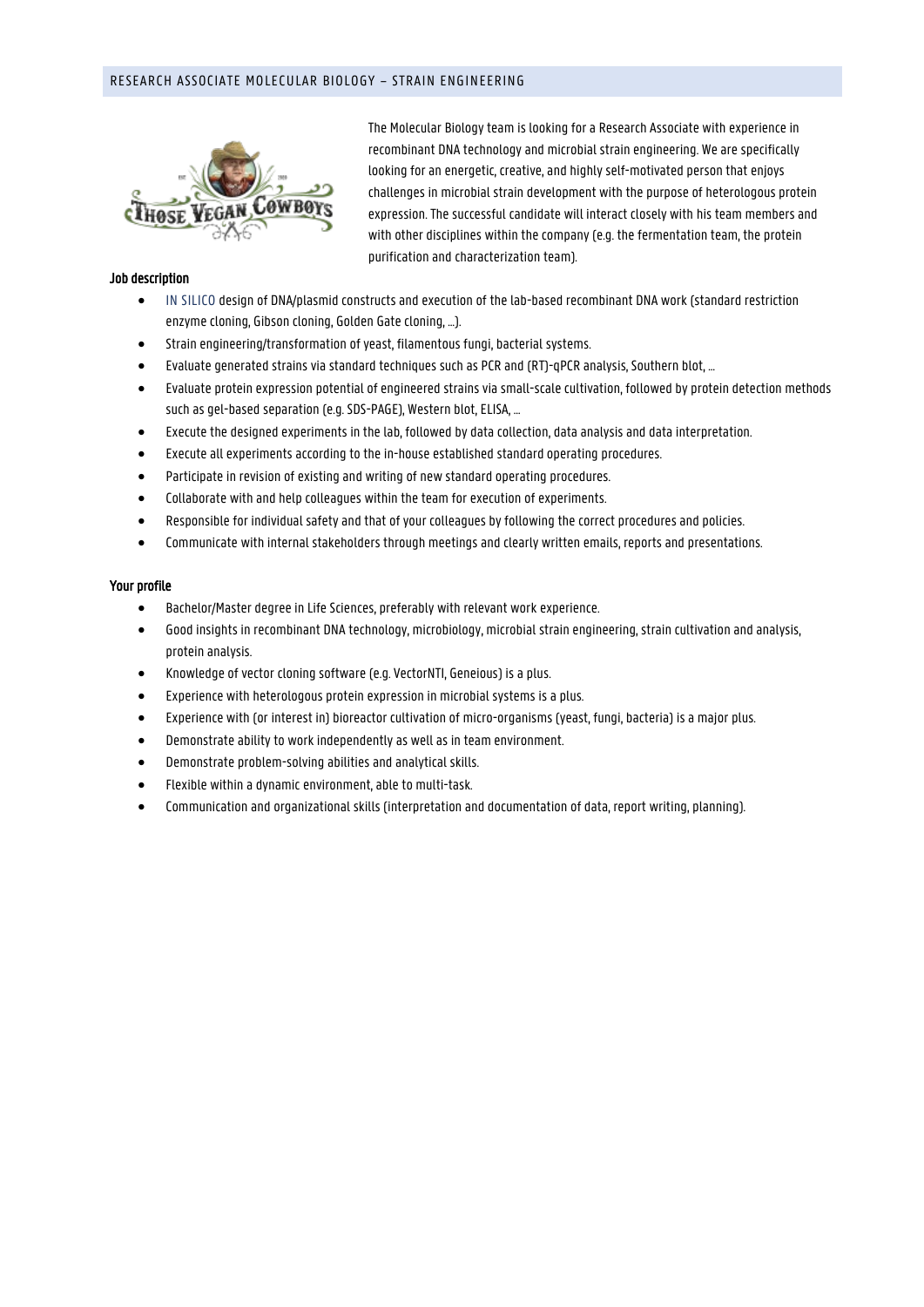# RESEARCH ASSOCIATE MOLECULAR BIOLOGY – STRAIN ENGINEERING



## Job description

• IN SILICO design of DNA/plasmid constructs and execution of the lab-based recombinant DNA work (standard restriction enzyme cloning, Gibson cloning, Golden Gate cloning, …).

purification and characterization team).

The Molecular Biology team is looking for a Research Associate with experience in recombinant DNA technology and microbial strain engineering. We are specifically looking for an energetic, creative, and highly self-motivated person that enjoys challenges in microbial strain development with the purpose of heterologous protein expression. The successful candidate will interact closely with his team members and with other disciplines within the company (e.g. the fermentation team, the protein

- Strain engineering/transformation of yeast, filamentous fungi, bacterial systems.
- Evaluate generated strains via standard techniques such as PCR and (RT)-qPCR analysis, Southern blot, …
- Evaluate protein expression potential of engineered strains via small-scale cultivation, followed by protein detection methods such as gel-based separation (e.g. SDS-PAGE), Western blot, ELISA, …
- Execute the designed experiments in the lab, followed by data collection, data analysis and data interpretation.
- Execute all experiments according to the in-house established standard operating procedures.
- Participate in revision of existing and writing of new standard operating procedures.
- Collaborate with and help colleagues within the team for execution of experiments.
- Responsible for individual safety and that of your colleagues by following the correct procedures and policies.
- Communicate with internal stakeholders through meetings and clearly written emails, reports and presentations.

## Your profile

- Bachelor/Master degree in Life Sciences, preferably with relevant work experience.
- Good insights in recombinant DNA technology, microbiology, microbial strain engineering, strain cultivation and analysis, protein analysis.
- Knowledge of vector cloning software (e.g. VectorNTI, Geneious) is a plus.
- Experience with heterologous protein expression in microbial systems is a plus.
- Experience with (or interest in) bioreactor cultivation of micro-organisms (yeast, fungi, bacteria) is a major plus.
- Demonstrate ability to work independently as well as in team environment.
- Demonstrate problem-solving abilities and analytical skills.
- Flexible within a dynamic environment, able to multi-task.
- Communication and organizational skills (interpretation and documentation of data, report writing, planning).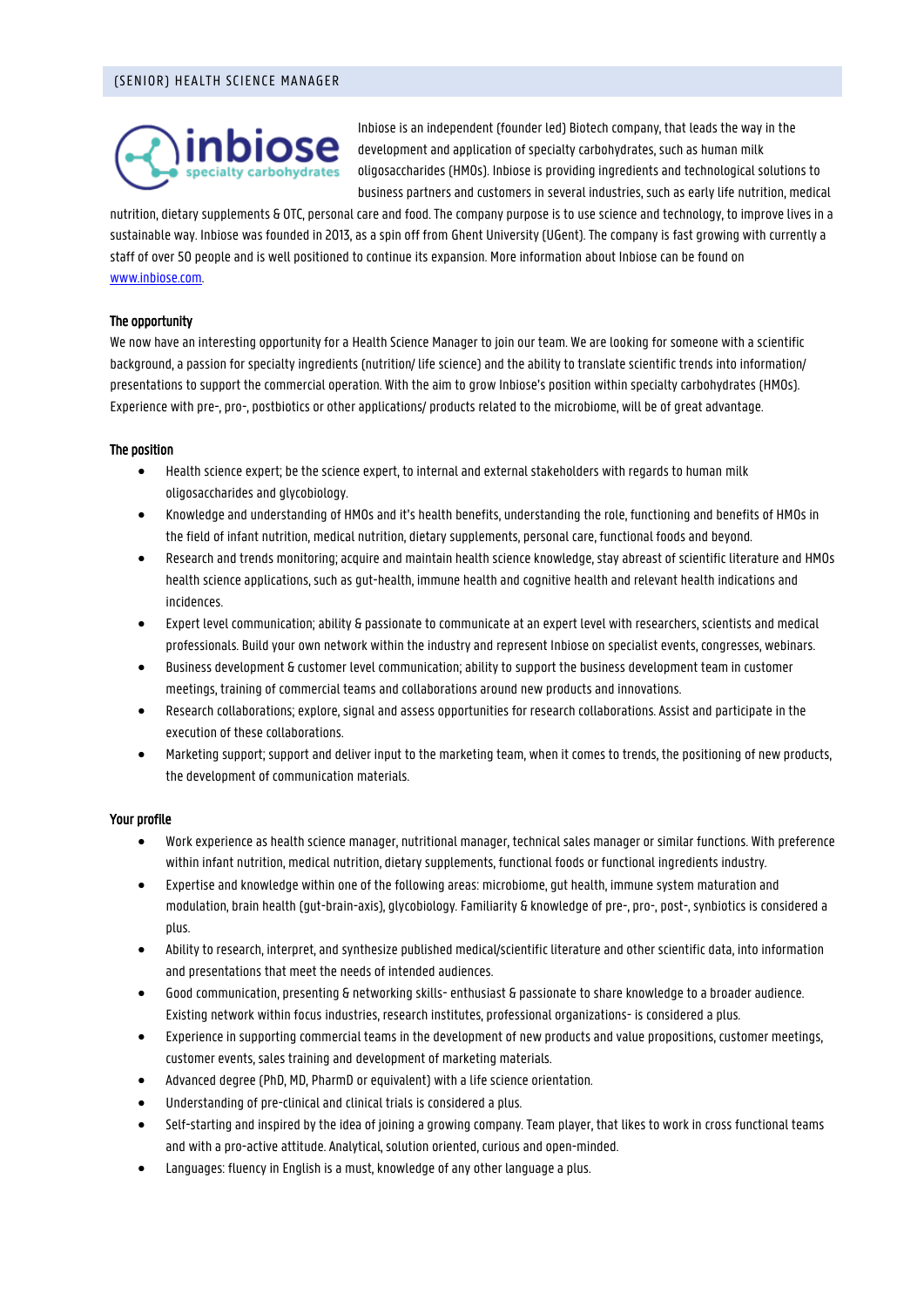

Inbiose is an independent (founder led) Biotech company, that leads the way in the development and application of specialty carbohydrates, such as human milk oligosaccharides (HMOs). Inbiose is providing ingredients and technological solutions to business partners and customers in several industries, such as early life nutrition, medical

nutrition, dietary supplements & OTC, personal care and food. The company purpose is to use science and technology, to improve lives in a sustainable way. Inbiose was founded in 2013, as a spin off from Ghent University (UGent). The company is fast growing with currently a staff of over 50 people and is well positioned to continue its expansion. More information about Inbiose can be found on [www.inbiose.com.](http://www.inbiose.com/)

## The opportunity

We now have an interesting opportunity for a Health Science Manager to join our team. We are looking for someone with a scientific background, a passion for specialty ingredients (nutrition/ life science) and the ability to translate scientific trends into information/ presentations to support the commercial operation. With the aim to grow Inbiose's position within specialty carbohydrates (HMOs). Experience with pre-, pro-, postbiotics or other applications/ products related to the microbiome, will be of great advantage.

## The position

- Health science expert; be the science expert, to internal and external stakeholders with regards to human milk oligosaccharides and glycobiology.
- Knowledge and understanding of HMOs and it's health benefits, understanding the role, functioning and benefits of HMOs in the field of infant nutrition, medical nutrition, dietary supplements, personal care, functional foods and beyond.
- Research and trends monitoring; acquire and maintain health science knowledge, stay abreast of scientific literature and HMOs health science applications, such as gut-health, immune health and cognitive health and relevant health indications and incidences.
- Expert level communication; ability & passionate to communicate at an expert level with researchers, scientists and medical professionals. Build your own network within the industry and represent Inbiose on specialist events, congresses, webinars.
- Business development & customer level communication; ability to support the business development team in customer meetings, training of commercial teams and collaborations around new products and innovations.
- Research collaborations; explore, signal and assess opportunities for research collaborations. Assist and participate in the execution of these collaborations.
- Marketing support; support and deliver input to the marketing team, when it comes to trends, the positioning of new products, the development of communication materials.

## Your profile

- Work experience as health science manager, nutritional manager, technical sales manager or similar functions. With preference within infant nutrition, medical nutrition, dietary supplements, functional foods or functional ingredients industry.
- Expertise and knowledge within one of the following areas: microbiome, gut health, immune system maturation and modulation, brain health (gut-brain-axis), glycobiology. Familiarity & knowledge of pre-, pro-, post-, synbiotics is considered a plus.
- Ability to research, interpret, and synthesize published medical/scientific literature and other scientific data, into information and presentations that meet the needs of intended audiences.
- Good communication, presenting & networking skills- enthusiast & passionate to share knowledge to a broader audience. Existing network within focus industries, research institutes, professional organizations- is considered a plus.
- Experience in supporting commercial teams in the development of new products and value propositions, customer meetings, customer events, sales training and development of marketing materials.
- Advanced degree (PhD, MD, PharmD or equivalent) with a life science orientation.
- Understanding of pre-clinical and clinical trials is considered a plus.
- Self-starting and inspired by the idea of joining a growing company. Team player, that likes to work in cross functional teams and with a pro-active attitude. Analytical, solution oriented, curious and open-minded.
- Languages: fluency in English is a must, knowledge of any other language a plus.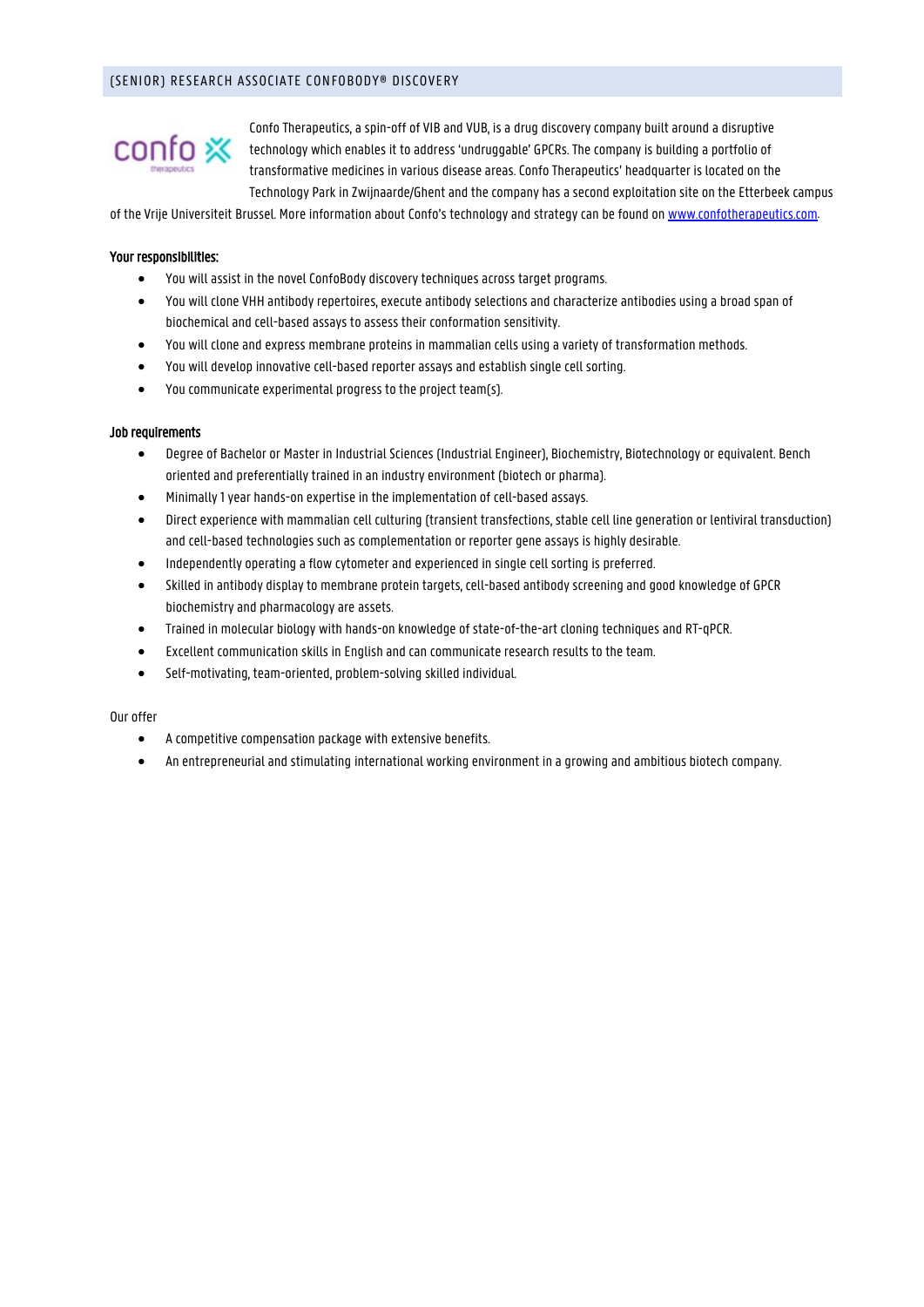# (SENIOR) RESEARCH ASSOCIATE CONFOBODY® DISCOVERY



Confo Therapeutics, a spin-off of VIB and VUB, is a drug discovery company built around a disruptive technology which enables it to address 'undruggable' GPCRs. The company is building a portfolio of transformative medicines in various disease areas. Confo Therapeutics' headquarter is located on the Technology Park in Zwijnaarde/Ghent and the company has a second exploitation site on the Etterbeek campus

of the Vrije Universiteit Brussel. More information about Confo's technology and strategy can be found o[n www.confotherapeutics.com.](https://www.confotherapeutics.com/)

## Your responsibilities:

- You will assist in the novel ConfoBody discovery techniques across target programs.
- You will clone VHH antibody repertoires, execute antibody selections and characterize antibodies using a broad span of biochemical and cell-based assays to assess their conformation sensitivity.
- You will clone and express membrane proteins in mammalian cells using a variety of transformation methods.
- You will develop innovative cell-based reporter assays and establish single cell sorting.
- You communicate experimental progress to the project team(s).

## Job requirements

- Degree of Bachelor or Master in Industrial Sciences (Industrial Engineer), Biochemistry, Biotechnology or equivalent. Bench oriented and preferentially trained in an industry environment (biotech or pharma).
- Minimally 1 year hands-on expertise in the implementation of cell-based assays.
- Direct experience with mammalian cell culturing (transient transfections, stable cell line generation or lentiviral transduction) and cell-based technologies such as complementation or reporter gene assays is highly desirable.
- Independently operating a flow cytometer and experienced in single cell sorting is preferred.
- Skilled in antibody display to membrane protein targets, cell-based antibody screening and good knowledge of GPCR biochemistry and pharmacology are assets.
- Trained in molecular biology with hands-on knowledge of state-of-the-art cloning techniques and RT-qPCR.
- Excellent communication skills in English and can communicate research results to the team.
- Self-motivating, team-oriented, problem-solving skilled individual.

#### Our offer

- A competitive compensation package with extensive benefits.
- An entrepreneurial and stimulating international working environment in a growing and ambitious biotech company.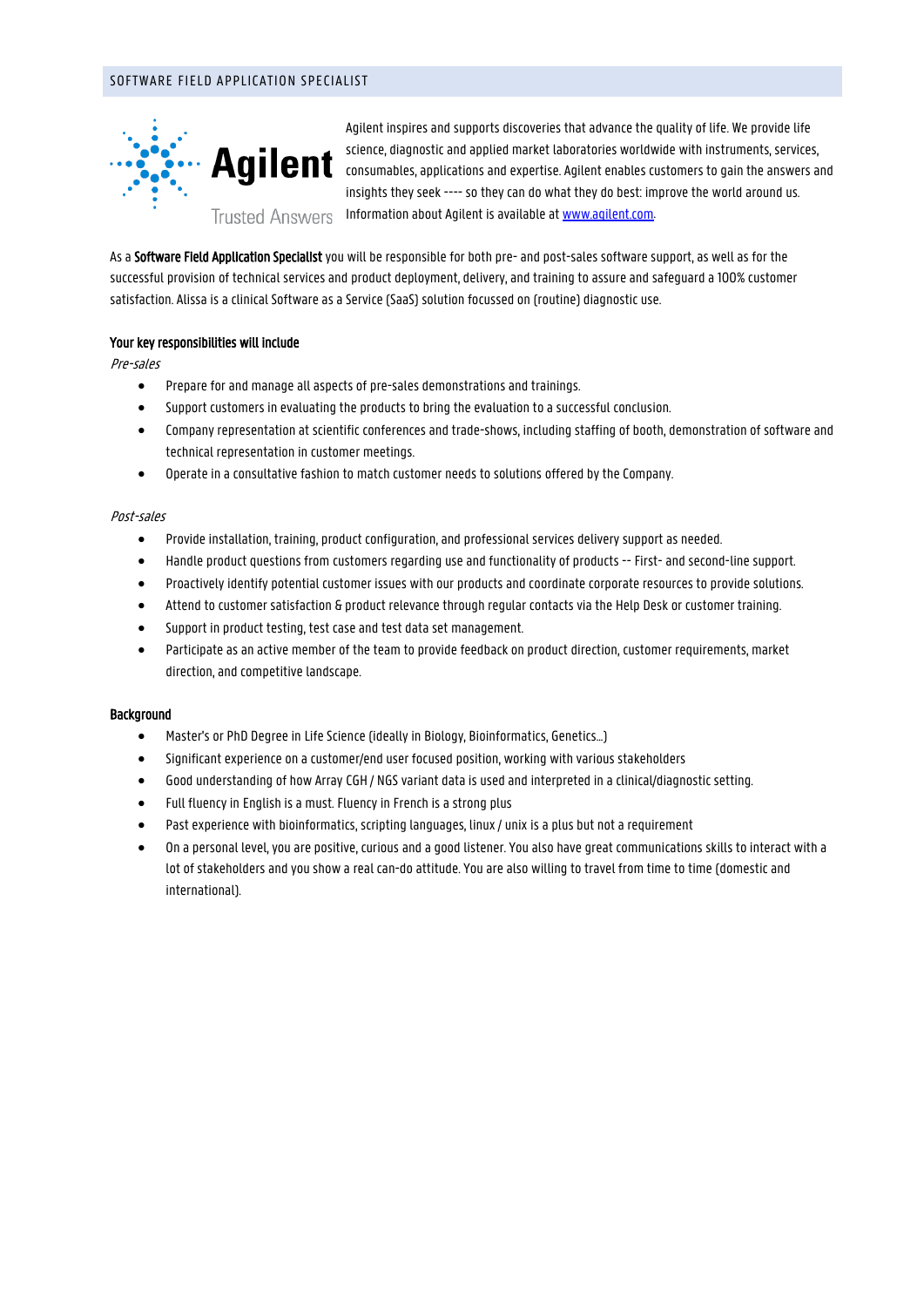# SOFTWARE FIELD APPLICATION SPECIALIST



Agilent inspires and supports discoveries that advance the quality of life. We provide life science, diagnostic and applied market laboratories worldwide with instruments, services, consumables, applications and expertise. Agilent enables customers to gain the answers and insights they seek ---- so they can do what they do best: improve the world around us. Information about Agilent is available a[t www.agilent.com.](http://www.agilent.com/)

As a Software Field Application Specialist you will be responsible for both pre- and post-sales software support, as well as for the successful provision of technical services and product deployment, delivery, and training to assure and safeguard a 100% customer satisfaction. Alissa is a clinical Software as a Service (SaaS) solution focussed on (routine) diagnostic use.

# Your key responsibilities will include

Pre-sales

- Prepare for and manage all aspects of pre-sales demonstrations and trainings.
- Support customers in evaluating the products to bring the evaluation to a successful conclusion.
- Company representation at scientific conferences and trade-shows, including staffing of booth, demonstration of software and technical representation in customer meetings.
- Operate in a consultative fashion to match customer needs to solutions offered by the Company.

## Post-sales

- Provide installation, training, product configuration, and professional services delivery support as needed.
- Handle product questions from customers regarding use and functionality of products -- First- and second-line support.
- Proactively identify potential customer issues with our products and coordinate corporate resources to provide solutions.
- Attend to customer satisfaction & product relevance through regular contacts via the Help Desk or customer training.
- Support in product testing, test case and test data set management.
- Participate as an active member of the team to provide feedback on product direction, customer requirements, market direction, and competitive landscape.

## Background

- Master's or PhD Degree in Life Science (ideally in Biology, Bioinformatics, Genetics...)
- Significant experience on a customer/end user focused position, working with various stakeholders
- Good understanding of how Array CGH / NGS variant data is used and interpreted in a clinical/diagnostic setting.
- Full fluency in English is a must. Fluency in French is a strong plus
- Past experience with bioinformatics, scripting languages, linux / unix is a plus but not a requirement
- On a personal level, you are positive, curious and a good listener. You also have great communications skills to interact with a lot of stakeholders and you show a real can-do attitude. You are also willing to travel from time to time (domestic and international).